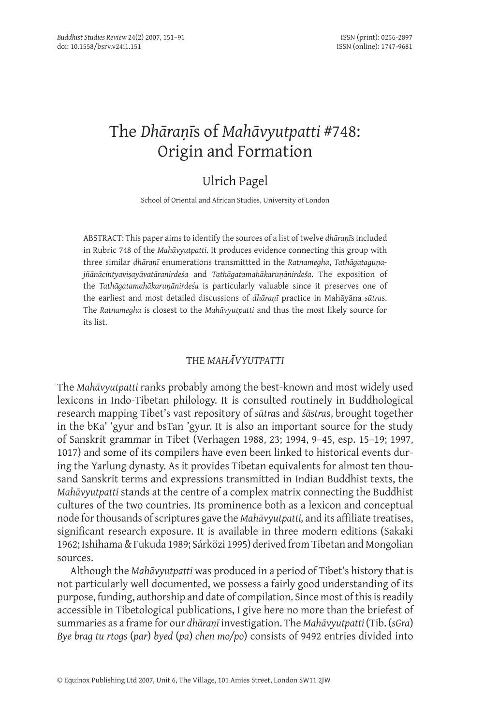# The *Dhāraṇī*s of *Mahāvyutpatti* #748: Origin and Formation

# Ulrich Pagel

School of Oriental and African Studies, University of London

Abstract: This paper aims to identify the sources of a list of twelve *dhāraṇī*s included in Rubric 748 of the *Mahāvyutpatti*. It produces evidence connecting this group with three similar *dhāraṇī* enumerations transmittted in the *Ratnamegha*, *Tathāgataguṇajñānācintyaviṣayāvatāranirdeśa* and *Tathāgatamahākaruṇānirdeśa*. The exposition of the *Tathāgatamahākaruṇānirdeśa* is particularly valuable since it preserves one of the earliest and most detailed discussions of *dhāraṇī* practice in Mahāyāna *sūtra*s. The *Ratnamegha* is closest to the *Mahāvyutpatti* and thus the most likely source for its list.

# THE *MAHĀVYUTPATTI*

The *Mahāvyutpatti* ranks probably among the best-known and most widely used lexicons in Indo-Tibetan philology. It is consulted routinely in Buddhological research mapping Tibet's vast repository of *sūtra*s and *śāstra*s, brought together in the bKa' 'gyur and bsTan 'gyur. It is also an important source for the study of Sanskrit grammar in Tibet (Verhagen 1988, 23; 1994, 9–45, esp. 15–19; 1997, 1017) and some of its compilers have even been linked to historical events during the Yarlung dynasty. As it provides Tibetan equivalents for almost ten thousand Sanskrit terms and expressions transmitted in Indian Buddhist texts, the *Mahāvyutpatti* stands at the centre of a complex matrix connecting the Buddhist cultures of the two countries. Its prominence both as a lexicon and conceptual node for thousands of scriptures gave the *Mahāvyutpatti,* and its affiliate treatises, significant research exposure. It is available in three modern editions (Sakaki 1962; Ishihama & Fukuda 1989; Sárközi 1995) derived from Tibetan and Mongolian sources.

Although the *Mahāvyutpatti* was produced in a period of Tibet's history that is not particularly well documented, we possess a fairly good understanding of its purpose, funding, authorship and date of compilation. Since most of this is readily accessible in Tibetological publications, I give here no more than the briefest of summaries as a frame for our *dhāraṇī* investigation. The *Mahāvyutpatti* (Tib. (*sGra*) *Bye brag tu rtogs* (*par*) *byed* (*pa*) *chen mo/po*) consists of 9492 entries divided into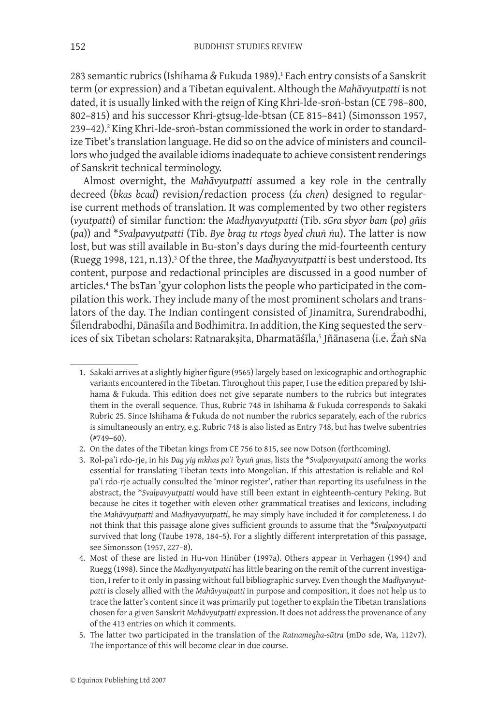283 semantic rubrics (Ishihama & Fukuda 1989).<sup>1</sup> Each entry consists of a Sanskrit term (or expression) and a Tibetan equivalent. Although the *Mahāvyutpatti* is not dated, it is usually linked with the reign of King Khri-lde-sroṅ-bstan (CE 798–800, 802–815) and his successor Khri-gtsug-lde-btsan (CE 815–841) (Simonsson 1957, 239–42).<sup>2</sup> King Khri-lde-sroṅ-bstan commissioned the work in order to standardize Tibet's translation language. He did so on the advice of ministers and councillors who judged the available idioms inadequate to achieve consistent renderings of Sanskrit technical terminology.

Almost overnight, the *Mahāvyutpatti* assumed a key role in the centrally decreed (*bkas bcad*) revision/redaction process (*źu chen*) designed to regularise current methods of translation. It was complemented by two other registers (*vyutpatti*) of similar function: the *Madhyavyutpatti* (Tib. *sGra sbyor bam* (*po*) *gñis* (*pa*)) and \**Svalpavyutpatti* (Tib. *Bye brag tu rtogs byed chuṅ ṅu*). The latter is now lost, but was still available in Bu-ston's days during the mid-fourteenth century (Ruegg 1998, 121, n.13).<sup>3</sup> Of the three, the Madhyavyutpatti is best understood. Its content, purpose and redactional principles are discussed in a good number of articles.4 The bsTan 'gyur colophon lists the people who participated in the compilation this work. They include many of the most prominent scholars and translators of the day. The Indian contingent consisted of Jinamitra, Surendrabodhi, Śīlendrabodhi, Dānaśīla and Bodhimitra. In addition, the King sequested the services of six Tibetan scholars: Ratnarakṣita, Dharmatāśīla,<sup>5</sup> Jñānasena (i.e. Żaṅ sNa

<sup>.</sup> Sakaki arrives at a slightly higher figure (9565) largely based on lexicographic and orthographic variants encountered in the Tibetan. Throughout this paper, I use the edition prepared by Ishihama & Fukuda. This edition does not give separate numbers to the rubrics but integrates them in the overall sequence. Thus, Rubric 748 in Ishihama & Fukuda corresponds to Sakaki Rubric 25. Since Ishihama & Fukuda do not number the rubrics separately, each of the rubrics is simultaneously an entry, e.g. Rubric 748 is also listed as Entry 748, but has twelve subentries (#749–60).

<sup>.</sup> On the dates of the Tibetan kings from CE 756 to 815, see now Dotson (forthcoming).

 <sup>3.</sup> Rol-pa'i rdo-rje, in his *Dag yig mkhas pa'i 'byuṅ gnas*, lists the \**Svalpavyutpatti* among the works essential for translating Tibetan texts into Mongolian. If this attestation is reliable and Rolpa'i rdo-rje actually consulted the 'minor register', rather than reporting its usefulness in the abstract, the \**Svalpavyutpatti* would have still been extant in eighteenth-century Peking. But because he cites it together with eleven other grammatical treatises and lexicons, including the *Mahāvyutpatti* and *Madhyavyutpatti*, he may simply have included it for completeness. I do not think that this passage alone gives sufficient grounds to assume that the \**Svalpavyutpatti* survived that long (Taube 1978, 184–5). For a slightly different interpretation of this passage, see Simonsson (1957, 227–8).

 <sup>4.</sup> Most of these are listed in Hu-von Hinüber (1997a). Others appear in Verhagen (1994) and Ruegg (1998). Since the *Madhyavyutpatti* has little bearing on the remit of the current investigation, I refer to it only in passing without full bibliographic survey. Even though the *Madhyavyutpatti* is closely allied with the *Mahāvyutpatti* in purpose and composition, it does not help us to trace the latter's content since it was primarily put together to explain the Tibetan translations chosen for a given Sanskrit *Mahāvyutpatti* expression. It does not address the provenance of any of the 413 entries on which it comments.

 <sup>5.</sup> The latter two participated in the translation of the *Ratnamegha-sūtra* (mDo sde, Wa, 112v7). The importance of this will become clear in due course.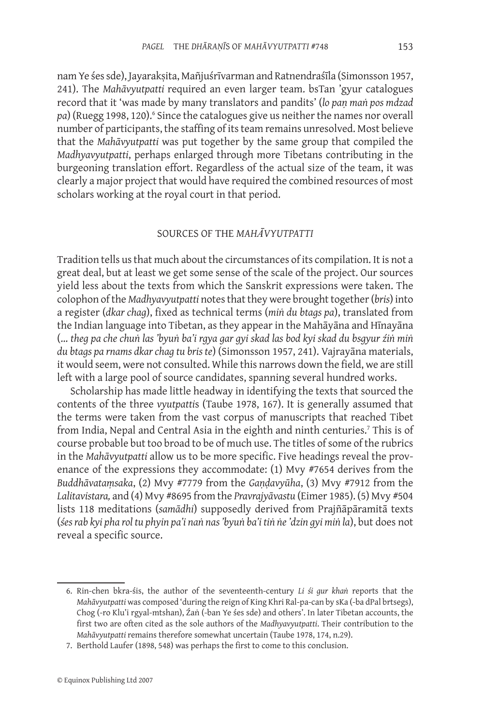nam Ye śes sde), Jayarakṣita, Mañjuśrīvarman and Ratnendraśīla (Simonsson 1957, 241). The *Mahāvyutpatti* required an even larger team. bsTan 'gyur catalogues record that it 'was made by many translators and pandits' (*lo paṇ maṅ pos mdzad*  pa) (Ruegg 1998, 120).<sup>6</sup> Since the catalogues give us neither the names nor overall number of participants, the staffing of its team remains unresolved. Most believe that the *Mahāvyutpatti* was put together by the same group that compiled the *Madhyavyutpatti*, perhaps enlarged through more Tibetans contributing in the burgeoning translation effort. Regardless of the actual size of the team, it was clearly a major project that would have required the combined resources of most scholars working at the royal court in that period.

# SOURCES OF THE *MAHĀVYUTPATTI*

Tradition tells us that much about the circumstances of its compilation. It is not a great deal, but at least we get some sense of the scale of the project. Our sources yield less about the texts from which the Sanskrit expressions were taken. The colophon of the *Madhyavyutpatti* notes that they were brought together (*bris*) into a register (*dkar chag*), fixed as technical terms (*miṅ du btags pa*), translated from the Indian language into Tibetan, as they appear in the Mahāyāna and Hīnayāna (… *theg pa che chuṅ las 'byuṅ ba'i rgya gar gyi skad las bod kyi skad du bsgyur źiṅ miṅ du btags pa rnams dkar chag tu bris te*) (Simonsson 1957, 241). Vajrayāna materials, it would seem, were not consulted. While this narrows down the field, we are still left with a large pool of source candidates, spanning several hundred works.

Scholarship has made little headway in identifying the texts that sourced the contents of the three *vyutpatti*s (Taube 1978, 167). It is generally assumed that the terms were taken from the vast corpus of manuscripts that reached Tibet from India, Nepal and Central Asia in the eighth and ninth centuries.<sup>7</sup> This is of course probable but too broad to be of much use. The titles of some of the rubrics in the *Mahāvyutpatti* allow us to be more specific. Five headings reveal the provenance of the expressions they accommodate: (1) Mvy #7654 derives from the *Buddhāvataṃsaka*, (2) Mvy #7779 from the *Gaṇḍavyūha*, (3) Mvy #7912 from the *Lalitavistara,* and (4) Mvy #8695 from the *Pravrajyāvastu* (Eimer 1985). (5) Mvy #504 lists 118 meditations (*samādhi*) supposedly derived from Prajñāpāramitā texts (*śes rab kyi pha rol tu phyin pa'i naṅ nas 'byuṅ ba'i tiṅ ṅe 'dzin gyi miṅ la*), but does not reveal a specific source.

<sup>.</sup> Rin-chen bkra-śis, the author of the seventeenth-century *Li śi gur khaṅ* reports that the *Mahāvyutpatti* was composed 'during the reign of King Khri Ral-pa-can by sKa (-ba dPal brtsegs), Chog (-ro Klu'i rgyal-mtshan), Źaṅ (-ban Ye śes sde) and others'. In later Tibetan accounts, the first two are often cited as the sole authors of the *Madhyavyutpatti*. Their contribution to the *Mahāvyutpatti* remains therefore somewhat uncertain (Taube 1978, 174, n.29).

<sup>.</sup> Berthold Laufer (1898, 548) was perhaps the first to come to this conclusion.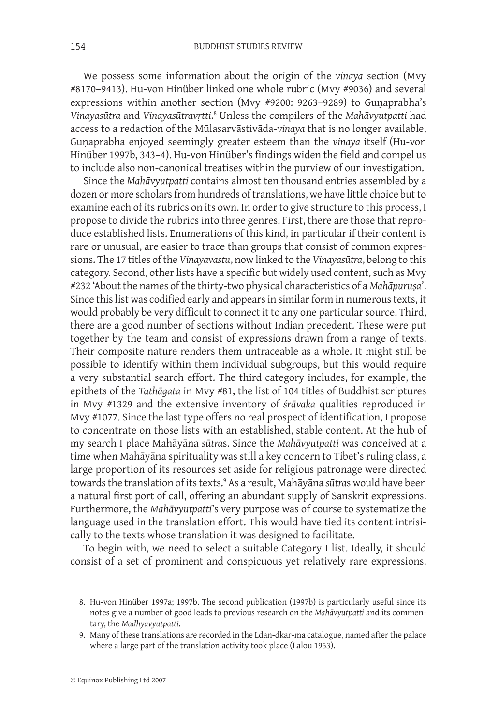We possess some information about the origin of the *vinaya* section (Mvy #8170–9413). Hu-von Hinüber linked one whole rubric (Mvy #9036) and several expressions within another section (Mvy #9200: 9263-9289) to Gunaprabha's *Vinayasūtra* and *Vinayasūtravṛtti*. Unless the compilers of the *Mahāvyutpatti* had access to a redaction of the Mūlasarvāstivāda-*vinaya* that is no longer available, Guṇaprabha enjoyed seemingly greater esteem than the *vinaya* itself (Hu-von Hinüber 1997b, 343–4). Hu-von Hinüber's findings widen the field and compel us to include also non-canonical treatises within the purview of our investigation.

Since the *Mahāvyutpatti* contains almost ten thousand entries assembled by a dozen or more scholars from hundreds of translations, we have little choice but to examine each of its rubrics on its own. In order to give structure to this process, I propose to divide the rubrics into three genres. First, there are those that reproduce established lists. Enumerations of this kind, in particular if their content is rare or unusual, are easier to trace than groups that consist of common expressions. The 17 titles of the *Vinayavastu*, now linked to the *Vinayasūtra*, belong to this category. Second, other lists have a specific but widely used content, such as Mvy #232 'About the names of the thirty-two physical characteristics of a *Mahāpuruṣa*'. Since this list was codified early and appears in similar form in numerous texts, it would probably be very difficult to connect it to any one particular source. Third, there are a good number of sections without Indian precedent. These were put together by the team and consist of expressions drawn from a range of texts. Their composite nature renders them untraceable as a whole. It might still be possible to identify within them individual subgroups, but this would require a very substantial search effort. The third category includes, for example, the epithets of the *Tathāgata* in Mvy #81, the list of 104 titles of Buddhist scriptures in Mvy #1329 and the extensive inventory of *śrāvaka* qualities reproduced in Mvy #1077. Since the last type offers no real prospect of identification, I propose to concentrate on those lists with an established, stable content. At the hub of my search I place Mahāyāna *sūtra*s. Since the *Mahāvyutpatti* was conceived at a time when Mahāyāna spirituality was still a key concern to Tibet's ruling class, a large proportion of its resources set aside for religious patronage were directed towards the translation of its texts.<sup>9</sup> As a result, Mahāyāna *sūtra*s would have been a natural first port of call, offering an abundant supply of Sanskrit expressions. Furthermore, the *Mahāvyutpatti*'s very purpose was of course to systematize the language used in the translation effort. This would have tied its content intrisically to the texts whose translation it was designed to facilitate.

To begin with, we need to select a suitable Category I list. Ideally, it should consist of a set of prominent and conspicuous yet relatively rare expressions.

<sup>.</sup> Hu-von Hinüber 1997a; 1997b. The second publication (1997b) is particularly useful since its notes give a number of good leads to previous research on the *Mahāvyutpatti* and its commentary, the *Madhyavyutpatti*.

 <sup>9.</sup> Many of these translations are recorded in the Ldan-dkar-ma catalogue, named after the palace where a large part of the translation activity took place (Lalou 1953).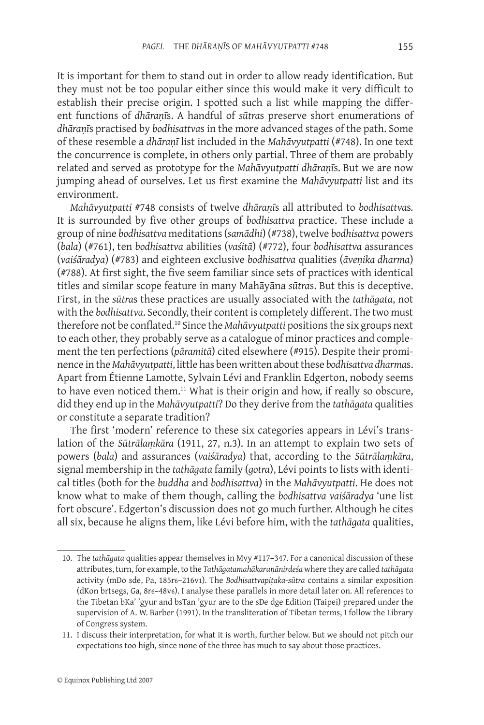It is important for them to stand out in order to allow ready identification. But they must not be too popular either since this would make it very difficult to establish their precise origin. I spotted such a list while mapping the different functions of *dhāraṇī*s. A handful of *sūtra*s preserve short enumerations of *dhāraṇī*s practised by *bodhisattva*s in the more advanced stages of the path. Some of these resemble a *dhāraṇī* list included in the *Mahāvyutpatti* (#748). In one text the concurrence is complete, in others only partial. Three of them are probably related and served as prototype for the *Mahāvyutpatti dhāraṇī*s. But we are now jumping ahead of ourselves. Let us first examine the *Mahāvyutpatti* list and its environment.

*Mahāvyutpatti* #748 consists of twelve *dhāraṇī*s all attributed to *bodhisattva*s*.*  It is surrounded by five other groups of *bodhisattva* practice. These include a group of nine *bodhisattva* meditations (*samādhi*) (#738), twelve *bodhisattva* powers (*bala*) (#761), ten *bodhisattva* abilities (*vaśitā*) (#772), four *bodhisattva* assurances (*vaiśāradya*) (#783) and eighteen exclusive *bodhisattva* qualities (*āveṇika dharma*) (#788). At first sight, the five seem familiar since sets of practices with identical titles and similar scope feature in many Mahāyāna *sūtra*s. But this is deceptive. First, in the *sūtra*s these practices are usually associated with the *tathāgata*, not with the *bodhisattva*. Secondly, their content is completely different. The two must therefore not be conflated.10 Since the *Mahāvyutpatti* positions the six groups next to each other, they probably serve as a catalogue of minor practices and complement the ten perfections (*pāramitā*) cited elsewhere (#915). Despite their prominence in the *Mahāvyutpatti*, little has been written about these *bodhisattva dharma*s. Apart from Étienne Lamotte, Sylvain Lévi and Franklin Edgerton, nobody seems to have even noticed them.<sup>11</sup> What is their origin and how, if really so obscure, did they end up in the *Mahāvyutpatti*? Do they derive from the *tathāgata* qualities or constitute a separate tradition?

The first 'modern' reference to these six categories appears in Lévi's translation of the *Sūtrālaṃkāra* (1911, 27, n.3). In an attempt to explain two sets of powers (*bala*) and assurances (*vaiśāradya*) that, according to the *Sūtrālaṃkāra*, signal membership in the *tathāgata* family (*gotra*), Lévi points to lists with identical titles (both for the *buddha* and *bodhisattva*) in the *Mahāvyutpatti*. He does not know what to make of them though, calling the *bodhisattva vaiśāradya* 'une list fort obscure'. Edgerton's discussion does not go much further. Although he cites all six, because he aligns them, like Lévi before him, with the *tathāgata* qualities,

<sup>10.</sup> The *tathāgata* qualities appear themselves in Mvy #117–347. For a canonical discussion of these attributes, turn, for example, to the *Tathāgatamahākaruṇānirdeśa* where they are called *tathāgata*  activity (mDo sde, Pa, 185r6–216v1). The *Bodhisattvapiṭaka-sūtra* contains a similar exposition (dKon brtsegs, Ga, 8r6–48v6). I analyse these parallels in more detail later on. All references to the Tibetan bKa' 'gyur and bsTan 'gyur are to the sDe dge Edition (Taipei) prepared under the supervision of A. W. Barber (1991). In the transliteration of Tibetan terms, I follow the Library of Congress system.

<sup>11.</sup> I discuss their interpretation, for what it is worth, further below. But we should not pitch our expectations too high, since none of the three has much to say about those practices.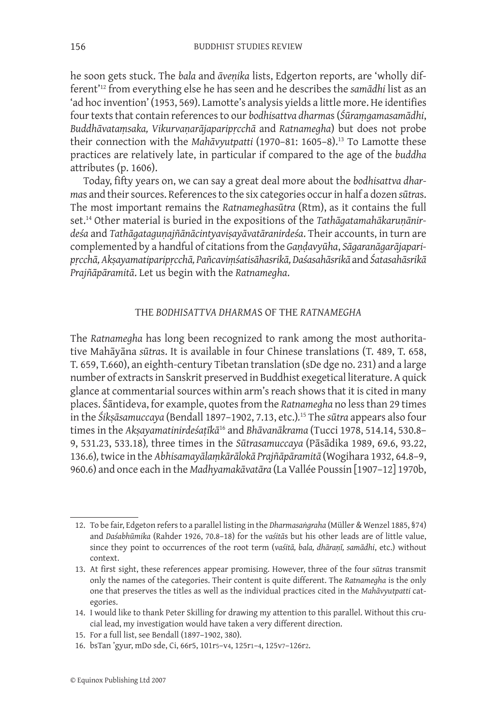he soon gets stuck. The *bala* and *āveṇika* lists, Edgerton reports, are 'wholly different'12 from everything else he has seen and he describes the *samādhi* list as an 'ad hoc invention' (1953, 569). Lamotte's analysis yields a little more. He identifies four texts that contain references to our *bodhisattva dharma*s (*Śūraṃgamasamādhi*, *Buddhāvataṃsaka, Vikurvaṇarājaparipṛcchā* and *Ratnamegha*) but does not probe their connection with the *Mahāvyutpatti* (1970–81: 1605–8).<sup>13</sup> To Lamotte these practices are relatively late, in particular if compared to the age of the *buddha* attributes (p. 1606).

Today, fifty years on, we can say a great deal more about the *bodhisattva dharma*s and their sources. References to the six categories occur in half a dozen *sūtra*s. The most important remains the *Ratnameghasūtra* (Rtm), as it contains the full set.14 Other material is buried in the expositions of the *Tathāgatamahākaruṇānirdeśa* and *Tathāgataguṇajñānācintyaviṣayāvatāranirdeśa*. Their accounts, in turn are complemented by a handful of citations from the *Gaṇḍavyūha*, *Sāgaranāgarājaparipṛcchā, Akṣayamatiparipṛcchā, Pañcaviṃśatisāhasrikā, Daśasahāsrikā* and *Śatasahāsrikā Prajñāpāramitā*. Let us begin with the *Ratnamegha*.

#### THE *BODHISATTVA DHARMA*S OF THE *RATNAMEGHA*

The *Ratnamegha* has long been recognized to rank among the most authoritative Mahāyāna *sūtra*s. It is available in four Chinese translations (T. 489, T. 658, T. 659, T.660), an eighth-century Tibetan translation (sDe dge no. 231) and a large number of extracts in Sanskrit preserved in Buddhist exegetical literature. A quick glance at commentarial sources within arm's reach shows that it is cited in many places. Śāntideva, for example, quotes from the *Ratnamegha* no less than 29 times in the *Śikṣāsamuccaya* (Bendall 1897–1902, 7.13, etc.)*.* <sup>15</sup> The *sūtra* appears also four times in the *Akṣayamatinirdeśaṭīkā*16 and *Bhāvanākrama* (Tucci 1978, 514.14, 530.8– 9, 531.23, 533.18)*,* three times in the *Sūtrasamuccaya* (Pāsādika 1989, 69.6, 93.22, 136.6)*,* twice in the *Abhisamayālaṃkārālokā Prajñāpāramitā* (Wogihara 1932, 64.8–9, 960.6) and once each in the *Madhyamakāvatāra* (La Vallée Poussin [1907–12] 1970b,

<sup>12.</sup> To be fair, Edgeton refers to a parallel listing in the *Dharmasaṅgraha* (Müller & Wenzel 1885, §74) and *Daśabhūmika* (Rahder 1926, 70.8–18) for the *vaśitā*s but his other leads are of little value, since they point to occurrences of the root term (*vaśitā, bala, dhāraṇī, samādhi*, etc.) without context.

<sup>13.</sup> At first sight, these references appear promising. However, three of the four *sūtra*s transmit only the names of the categories. Their content is quite different. The *Ratnamegha* is the only one that preserves the titles as well as the individual practices cited in the *Mahāvyutpatti* categories.

<sup>14.</sup> I would like to thank Peter Skilling for drawing my attention to this parallel. Without this crucial lead, my investigation would have taken a very different direction.

<sup>15.</sup> For a full list, see Bendall (1897–1902, 380).

<sup>16.</sup> bsTan 'gyur, mDo sde, Ci, 66r5, 101r5–v4, 125r1–4, 125v7–126r2.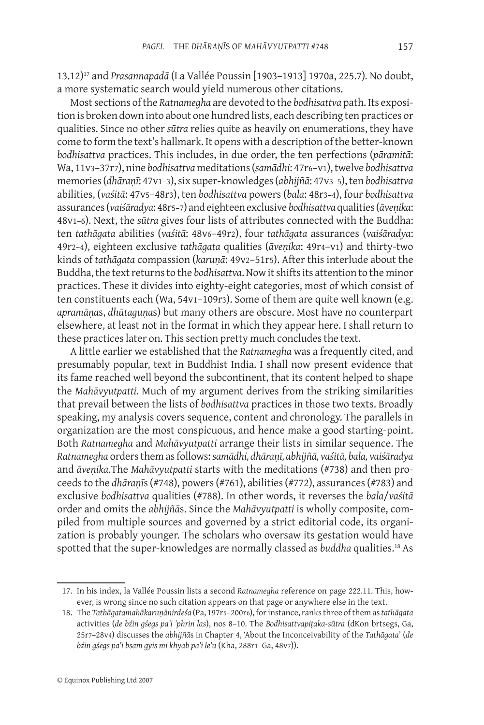13.12)17 and *Prasannapadā* (La Vallée Poussin [1903–1913] 1970a, 225.7)*.* No doubt, a more systematic search would yield numerous other citations.

Most sections of the *Ratnamegha* are devoted to the *bodhisattva* path. Its exposition is broken down into about one hundred lists, each describing ten practices or qualities. Since no other *sūtra* relies quite as heavily on enumerations, they have come to form the text's hallmark. It opens with a description of the better-known *bodhisattva* practices. This includes, in due order, the ten perfections (*pāramitā*: Wa, 11v3–37r7), nine *bodhisattva* meditations (*samādhi*: 47r6–v1), twelve *bodhisattva* memories (*dhāraṇī*: 47v1–3), six super-knowledges (*abhijñā*: 47v3–5), ten *bodhisattva* abilities, (*vaśitā*: 47v5–48r3), ten *bodhisattva* powers (*bala*: 48r3–4), four *bodhisattva* assurances (*vaiśāradya*: 48r5–7) and eighteen exclusive *bodhisattva* qualities (*āveṇika*: 48v1–6). Next, the *sūtra* gives four lists of attributes connected with the Buddha: ten *tathāgata* abilities (*vaśitā*: 48v6–49r2), four *tathāgata* assurances (*vaiśāradya*: 49r2–4), eighteen exclusive *tathāgata* qualities (*āveṇika*: 49r4–v1) and thirty-two kinds of *tathāgata* compassion (*karuṇā*: 49v2–51r5). After this interlude about the Buddha, the text returns to the *bodhisattva*. Now it shifts its attention to the minor practices. These it divides into eighty-eight categories, most of which consist of ten constituents each (Wa, 54v1–109r3). Some of them are quite well known (e.g. *apramāṇa*s, *dhūtaguṇa*s) but many others are obscure. Most have no counterpart elsewhere, at least not in the format in which they appear here. I shall return to these practices later on. This section pretty much concludes the text.

A little earlier we established that the *Ratnamegha* was a frequently cited, and presumably popular, text in Buddhist India. I shall now present evidence that its fame reached well beyond the subcontinent, that its content helped to shape the *Mahāvyutpatti.* Much of my argument derives from the striking similarities that prevail between the lists of *bodhisattva* practices in those two texts. Broadly speaking, my analysis covers sequence, content and chronology. The parallels in organization are the most conspicuous, and hence make a good starting-point. Both *Ratnamegha* and *Mahāvyutpatti* arrange their lists in similar sequence. The *Ratnamegha* orders them as follows: *samādhi, dhāraṇī, abhijñā, vaśitā, bala, vaiśāradya*  and *āveṇika*.The *Mahāvyutpatti* starts with the meditations (#738) and then proceeds to the *dhāraṇī*s (#748), powers (#761), abilities (#772), assurances (#783) and exclusive *bodhisattva* qualities (#788). In other words, it reverses the *bala*/*vaśitā* order and omits the *abhijñā*s. Since the *Mahāvyutpatti* is wholly composite, compiled from multiple sources and governed by a strict editorial code, its organization is probably younger. The scholars who oversaw its gestation would have spotted that the super-knowledges are normally classed as *buddha* qualities.<sup>18</sup> As

<sup>17.</sup> In his index, la Vallée Poussin lists a second *Ratnamegha* reference on page 222.11. This, however, is wrong since no such citation appears on that page or anywhere else in the text.

<sup>18.</sup> The *Tathāgatamahākaruṇānirdeśa* (Pa, 197r5–200r6), for instance, ranks three of them as *tathāgata*  activities (*de bźin gśegs pa'i 'phrin las*), nos 8–10. The *Bodhisattvapiṭaka-sūtra* (dKon brtsegs, Ga, 25r7–28v4) discusses the *abhijñā*s in Chapter 4, 'About the Inconceivability of the *Tathāgata*' (*de bźin gśegs pa'i bsam gyis mi khyab pa'i le'u* (Kha, 288r1–Ga, 48v7)).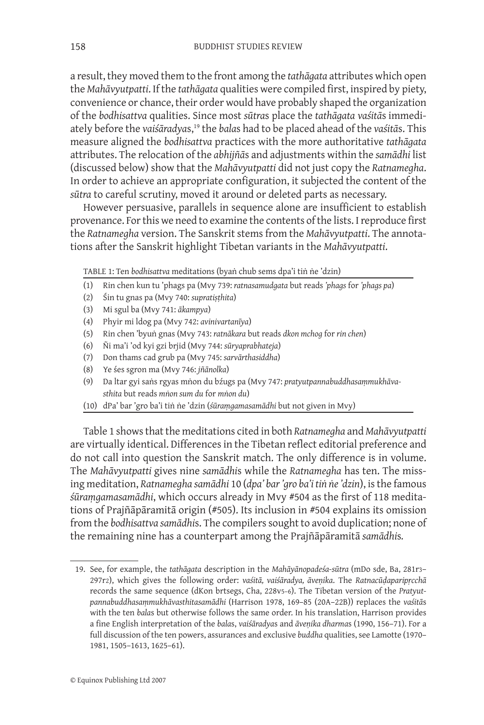a result, they moved them to the front among the *tathāgata* attributes which open the *Mahāvyutpatti*. If the *tathāgata* qualities were compiled first, inspired by piety, convenience or chance, their order would have probably shaped the organization of the *bodhisattva* qualities. Since most *sūtra*s place the *tathāgata vaśitā*s immediately before the *vaiśāradya*s,19 the *bala*s had to be placed ahead of the *vaśitā*s. This measure aligned the *bodhisattva* practices with the more authoritative *tathāgata* attributes. The relocation of the *abhijñā*s and adjustments within the *samādhi* list (discussed below) show that the *Mahāvyutpatti* did not just copy the *Ratnamegha*. In order to achieve an appropriate configuration, it subjected the content of the *sūtra* to careful scrutiny, moved it around or deleted parts as necessary.

However persuasive, parallels in sequence alone are insufficient to establish provenance. For this we need to examine the contents of the lists. I reproduce first the *Ratnamegha* version. The Sanskrit stems from the *Mahāvyutpatti*. The annotations after the Sanskrit highlight Tibetan variants in the *Mahāvyutpatti*.

Table 1: Ten *bodhisattva* meditations (byaṅ chub sems dpa'i tiṅ ṅe 'dzin)

- (1) Rin chen kun tu 'phags pa (Mvy 739: *ratnasamudgata* but reads *'phags* for *'phags pa*)
- (2) Śin tu gnas pa (Mvy 740: *supratiṣṭhita*)
- (3) Mi sgul ba (Mvy 741: *ākampya*)
- (4) Phyir mi ldog pa (Mvy 742: *avinivartanīya*)
- (5) Rin chen 'byuṅ gnas (Mvy 743: *ratnākara* but reads *dkon mchog* for *rin chen*)
- (6) Ñi ma'i 'od kyi gzi brjid (Mvy 744: *sūryaprabhateja*)
- (7) Don thams cad grub pa (Mvy 745: *sarvārthasiddha*)
- (8) Ye śes sgron ma (Mvy 746: *jñānolka*)
- (9) Da ltar gyi saṅs rgyas mṅon du bźugs pa (Mvy 747: *pratyutpannabuddhasaṃmukhāvasthita* but reads *mṅon sum du* for *mṅon du*)
- (10) dPa' bar 'gro ba'i tiṅ ṅe 'dzin (*śūraṃgamasamādhi* but not given in Mvy)

Table 1 shows that the meditations cited in both *Ratnamegha* and *Mahāvyutpatti*  are virtually identical. Differences in the Tibetan reflect editorial preference and do not call into question the Sanskrit match. The only difference is in volume. The *Mahāvyutpatti* gives nine *samādhi*s while the *Ratnamegha* has ten. The missing meditation, *Ratnamegha samādhi* 10 (*dpa' bar 'gro ba'i tiṅ ṅe 'dzin*), is the famous *śūraṃgamasamādhi*, which occurs already in Mvy #504 as the first of 118 meditations of Prajñāpāramitā origin (#505). Its inclusion in #504 explains its omission from the *bodhisattva samādhi*s. The compilers sought to avoid duplication; none of the remaining nine has a counterpart among the Prajñāpāramitā *samādhi*s*.*

<sup>19.</sup> See, for example, the *tathāgata* description in the *Mahāyānopadeśa-sūtra* (mDo sde, Ba, 281r3– 297r2), which gives the following order: *vaśitā, vaiśāradya, āveṇika*. The *Ratnacūḍaparipṛcchā* records the same sequence (dKon brtsegs, Cha, 228v5–6). The Tibetan version of the *Pratyutpannabuddhasaṃmukhāvasthitasamādhi* (Harrison 1978, 169–85 (20A–22B)) replaces the *vaśitā*s with the ten *bala*s but otherwise follows the same order. In his translation, Harrison provides a fine English interpretation of the *bala*s, *vaiśāradya*s and *āveṇika dharma*s (1990, 156–71). For a full discussion of the ten powers, assurances and exclusive *buddha* qualities, see Lamotte (1970– 1981, 1505–1613, 1625–61).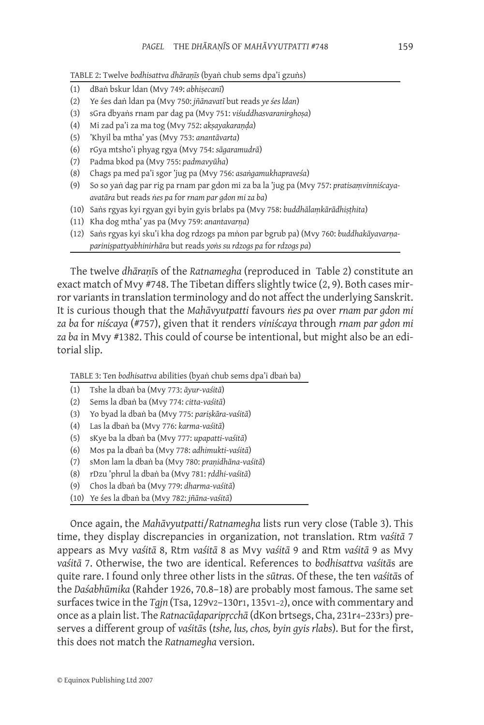Table 2: Twelve *bodhisattva dhāraṇīs* (byaṅ chub sems dpa'i gzuṅs)

- (1) dBaṅ bskur ldan (Mvy 749: *abhiṣecanī*)
- (2) Ye śes daṅ ldan pa (Mvy 750: *jñānavatī* but reads *ye śes ldan*)
- (3) sGra dbyaṅs rnam par dag pa (Mvy 751: *viśuddhasvaranirghoṣa*)
- (4) Mi zad pa'i za ma tog (Mvy 752: *akṣayakaraṇḍa*)
- (5) 'Khyil ba mtha' yas (Mvy 753: *anantāvarta*)
- (6) rGya mtsho'i phyag rgya (Mvy 754: *sāgaramudrā*)
- (7) Padma bkod pa (Mvy 755: *padmavyūha*)
- (8) Chags pa med pa'i sgor 'jug pa (Mvy 756: *asaṅgamukhapraveśa*)
- (9) So so yaṅ dag par rig pa rnam par gdon mi za ba la 'jug pa (Mvy 757: *pratisaṃvinniścayaavatāra* but reads *ṅes pa* for *rnam par gdon mi za ba*)
- (10) Saṅs rgyas kyi rgyan gyi byin gyis brlabs pa (Mvy 758: *buddhālaṃkārādhiṣṭhita*)
- (11) Kha dog mtha' yas pa (Mvy 759: *anantavarṇa*)
- (12) Saṅs rgyas kyi sku'i kha dog rdzogs pa mṅon par bgrub pa) (Mvy 760: *buddhakāyavarṇapariniṣpattyabhinirhāra* but reads *yoṅs su rdzogs pa* for *rdzogs pa*)

The twelve *dhāraṇī*s of the *Ratnamegha* (reproduced in Table 2) constitute an exact match of Mvy #748. The Tibetan differs slightly twice (2, 9). Both cases mirror variants in translation terminology and do not affect the underlying Sanskrit. It is curious though that the *Mahāvyutpatti* favours *ṅes pa* over *rnam par gdon mi za ba* for *niścaya* (#757), given that it renders *viniścaya* through *rnam par gdon mi za ba* in Mvy #1382. This could of course be intentional, but might also be an editorial slip.

Table 3: Ten *bodhisattva* abilities (byaṅ chub sems dpa'i dbaṅ ba)

- (1) Tshe la dbaṅ ba (Mvy 773: *āyur-vaśitā*)
- (2) Sems la dbaṅ ba (Mvy 774: *citta-vaśitā*)
- (3) Yo byad la dbaṅ ba (Mvy 775: *pariṣkāra-vaśitā*)
- (4) Las la dbaṅ ba (Mvy 776: *karma-vaśitā*)
- (5) sKye ba la dbaṅ ba (Mvy 777: *upapatti-vaśitā*)
- (6) Mos pa la dbaṅ ba (Mvy 778: *adhimukti-vaśitā*)
- (7) sMon lam la dbaṅ ba (Mvy 780: *praṇidhāna-vaśitā*)
- (8) rDzu 'phrul la dbaṅ ba (Mvy 781: *ṛddhi-vaśitā*)
- (9) Chos la dbaṅ ba (Mvy 779: *dharma-vaśitā*)
- (10) Ye śes la dbaṅ ba (Mvy 782: *jñāna-vaśitā*)

Once again, the *Mahāvyutpatti*/*Ratnamegha* lists run very close (Table 3). This time, they display discrepancies in organization, not translation. Rtm *vaśitā* 7 appears as Mvy *vaśitā* 8, Rtm *vaśitā* 8 as Mvy *vaśitā* 9 and Rtm *vaśitā* 9 as Mvy *vaśitā* 7. Otherwise, the two are identical. References to *bodhisattva vaśitā*s are quite rare. I found only three other lists in the *sūtra*s. Of these, the ten *vaśitā*s of the *Daśabhūmika* (Rahder 1926, 70.8–18) are probably most famous. The same set surfaces twice in the *Tgjn* (Tsa, 129v2–130r1, 135v1–2), once with commentary and once as a plain list. The *Ratnacūḍaparipṛcchā* (dKon brtsegs, Cha, 231r4–233r3) preserves a different group of *vaśitā*s (*tshe, lus, chos, byin gyis rlabs*). But for the first, this does not match the *Ratnamegha* version.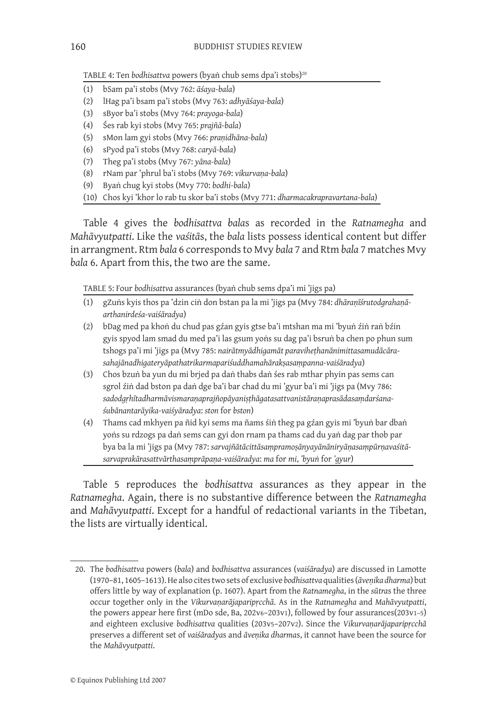TABLE 4: Ten *bodhisattva* powers (byaṅ chub sems dpa'i stobs)<sup>20</sup>

- (1) bSam pa'i stobs (Mvy 762: *āśaya-bala*)
- (2) lHag pa'i bsam pa'i stobs (Mvy 763: *adhyāśaya-bala*)
- (3) sByor ba'i stobs (Mvy 764: *prayoga-bala*)
- (4) Śes rab kyi stobs (Mvy 765: *prajñā-bala*)
- (5) sMon lam gyi stobs (Mvy 766: *praṇidhāna-bala*)
- (6) sPyod pa'i stobs (Mvy 768: *caryā-bala*)
- (7) Theg pa'i stobs (Mvy 767: *yāna-bala*)
- (8) rNam par 'phrul ba'i stobs (Mvy 769: *vikurvaṇa-bala*)
- (9) Byaṅ chug kyi stobs (Mvy 770: *bodhi-bala*)
- (10) Chos kyi 'khor lo rab tu skor ba'i stobs (Mvy 771: *dharmacakrapravartana-bala*)

Table 4 gives the *bodhisattva bala*s as recorded in the *Ratnamegha* and *Mahāvyutpatti*. Like the *vaśitā*s, the *bala* lists possess identical content but differ in arrangment. Rtm *bala* 6 corresponds to Mvy *bala* 7 and Rtm *bala* 7 matches Mvy *bala* 6. Apart from this, the two are the same.

Table 5: Four *bodhisattva* assurances (byaṅ chub sems dpa'i mi 'jigs pa)

- (1) gZuṅs kyis thos pa 'dzin ciṅ don bstan pa la mi 'jigs pa (Mvy 784: *dhāraṇīśrutodgrahaṇāarthanirdeśa-vaiśāradya*)
- (2) bDag med pa khoṅ du chud pas gźan gyis gtse ba'i mtshan ma mi 'byuṅ źiṅ raṅ bźin gyis spyod lam smad du med pa'i las gsum yoṅs su dag pa'i bsruṅ ba chen po phun sum tshogs pa'i mi 'jigs pa (Mvy 785: *nairātmyādhigamāt paraviheṭhanānimittasamudācārasahajānadhigateryāpathatrikarmapariśuddhamahārakṣasaṃpanna-vaiśāradya*)
- (3) Chos bzuṅ ba yun du mi brjed pa daṅ thabs daṅ śes rab mthar phyin pas sems can sgrol źiṅ dad bston pa daṅ dge ba'i bar chad du mi 'gyur ba'i mi 'jigs pa (Mvy 786: *sadodgṛhītadharmāvismaraṇaprajñopāyaniṣṭhāgatasattvanistāraṇaprasādasaṃdarśanaśubānantarāyika-vaiśyāradya*: *ston* for *bston*)
- (4) Thams cad mkhyen pa ñid kyi sems ma ñams śiṅ theg pa gźan gyis mi 'byuṅ bar dbaṅ yoṅs su rdzogs pa daṅ sems can gyi don rnam pa thams cad du yaṅ dag par thob par bya ba la mi 'jigs pa (Mvy 787: *sarvajñātācittāsaṃpramoṣānyayānāniryāṇasaṃpūrṇavaśitāsarvaprakārasattvārthasaṃprāpaṇa-vaiśāradya*: *ma* for *mi*, *'byuṅ* for *'gyur*)

Table 5 reproduces the *bodhisattva* assurances as they appear in the *Ratnamegha*. Again, there is no substantive difference between the *Ratnamegha* and *Mahāvyutpatti*. Except for a handful of redactional variants in the Tibetan, the lists are virtually identical.

<sup>20.</sup> The *bodhisattva* powers (*bala*) and *bodhisattva* assurances (*vaiśāradya*) are discussed in Lamotte (1970–81, 1605–1613). He also cites two sets of exclusive *bodhisattva* qualities (*āveṇika dharma*) but offers little by way of explanation (p. 1607). Apart from the *Ratnamegha*, in the *sūtra*s the three occur together only in the *Vikurvaṇarājaparipṛcchā*. As in the *Ratnamegha* and *Mahāvyutpatti*, the powers appear here first (mDo sde, Ba, 202v6–203v1), followed by four assurances(203v1–5) and eighteen exclusive *bodhisattva* qualities (203v5–207v2). Since the *Vikurvaṇarājaparipṛcchā* preserves a different set of *vaiśāradya*s and *āveṇika dharma*s, it cannot have been the source for the *Mahāvyutpatti*.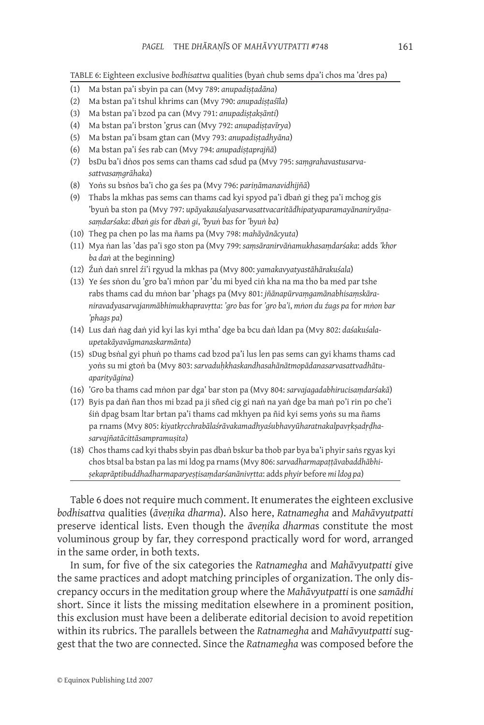Table 6: Eighteen exclusive *bodhisattva* qualities (byaṅ chub sems dpa'i chos ma 'dres pa)

- (1) Ma bstan pa'i sbyin pa can (Mvy 789: *anupadiṣṭadāna*)
- (2) Ma bstan pa'i tshul khrims can (Mvy 790: *anupadiṣṭaśīla*)
- (3) Ma bstan pa'i bzod pa can (Mvy 791: *anupadiṣṭakṣānti*)
- (4) Ma bstan pa'i brston 'grus can (Mvy 792: *anupadiṣṭavīrya*)
- (5) Ma bstan pa'i bsam gtan can (Mvy 793: *anupadiṣṭadhyāna*)
- (6) Ma bstan pa'i śes rab can (Mvy 794: *anupadiṣṭaprajñā*)
- (7) bsDu ba'i dṅos pos sems can thams cad sdud pa (Mvy 795: *saṃgrahavastusarvasattvasaṃgrāhaka*)
- (8) Yoṅs su bsṅos ba'i cho ga śes pa (Mvy 796: *pariṇāmanavidhijñā*)
- (9) Thabs la mkhas pas sems can thams cad kyi spyod pa'i dbaṅ gi theg pa'i mchog gis 'byuṅ ba ston pa (Mvy 797: *upāyakauśalyasarvasattvacaritādhipatyaparamayānaniryāṇasaṃdarśaka*: *dbaṅ gis* for *dbaṅ gi*, *'byuṅ bas* for *'byuṅ ba*)
- (10) Theg pa chen po las ma ñams pa (Mvy 798: *mahāyānācyuta*)
- (11) Mya ṅan las 'das pa'i sgo ston pa (Mvy 799: *saṃsāranirvāṅamukhasaṃdarśaka*: adds *'khor ba daṅ* at the beginning)
- (12) Źuṅ daṅ snrel źi'i rgyud la mkhas pa (Mvy 800: *yamakavyatyastāhārakuśala*)
- (13) Ye śes sṅon du 'gro ba'i mṅon par 'du mi byed ciṅ kha na ma tho ba med par tshe rabs thams cad du mṅon bar 'phags pa (Mvy 801: *jñānapūrvaṃgamānabhisaṃskāraniravadyasarvajanmābhimukhapravṛtta*: *'gro bas* for *'gro ba'i*, *mṅon du źugs pa* for *mṅon bar 'phags pa*)
- (14) Lus daṅ ṅag daṅ yid kyi las kyi mtha' dge ba bcu daṅ ldan pa (Mvy 802: *daśakuśalaupetakāyavāgmanaskarmānta*)
- (15) sDug bsṅal gyi phuṅ po thams cad bzod pa'i lus len pas sems can gyi khams thams cad yoṅs su mi gtoṅ ba (Mvy 803: *sarvaduḥkhaskandhasahānātmopādanasarvasattvadhātuaparityāgina*)
- (16) 'Gro ba thams cad mṅon par dga' bar ston pa (Mvy 804: *sarvajagadabhirucisaṃdarśakā*)
- (17) Byis pa daṅ ñan thos mi bzad pa ji sñed cig gi naṅ na yaṅ dge ba maṅ po'i rin po che'i śiṅ dpag bsam ltar brtan pa'i thams cad mkhyen pa ñid kyi sems yoṅs su ma ñams pa rnams (Mvy 805: *kiyatkṛcchrabālaśrāvakamadhyaśubhavyūharatnakalpavṛkṣadṛḍhasarvajñatācittāsampramuṣita*)
- (18) Chos thams cad kyi thabs sbyin pas dbaṅ bskur ba thob par bya ba'i phyir saṅs rgyas kyi chos btsal ba bstan pa las mi ldog pa rnams (Mvy 806: *sarvadharmapaṭṭāvabaddhābhiṣekaprāptibuddhadharmaparyeṣṭisaṃdarśanānivṛtta*: adds *phyir* before *mi ldog pa*)

Table 6 does not require much comment. It enumerates the eighteen exclusive *bodhisattva* qualities (*āveṇika dharma*). Also here, *Ratnamegha* and *Mahāvyutpatti*  preserve identical lists. Even though the *āveṇika dharma*s constitute the most voluminous group by far, they correspond practically word for word, arranged in the same order, in both texts.

In sum, for five of the six categories the *Ratnamegha* and *Mahāvyutpatti* give the same practices and adopt matching principles of organization. The only discrepancy occurs in the meditation group where the *Mahāvyutpatti* is one *samādhi* short. Since it lists the missing meditation elsewhere in a prominent position, this exclusion must have been a deliberate editorial decision to avoid repetition within its rubrics. The parallels between the *Ratnamegha* and *Mahāvyutpatti* suggest that the two are connected. Since the *Ratnamegha* was composed before the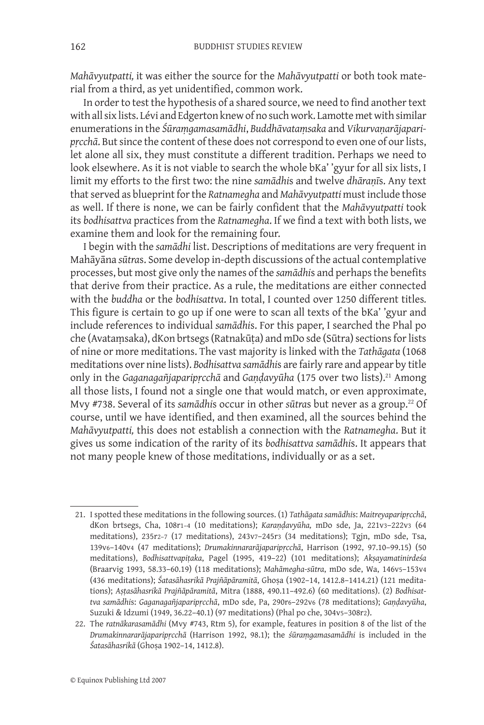*Mahāvyutpatti,* it was either the source for the *Mahāvyutpatti* or both took material from a third, as yet unidentified, common work.

In order to test the hypothesis of a shared source, we need to find another text with all six lists. Lévi and Edgerton knew of no such work. Lamotte met with similar enumerations in the *Śūraṃgamasamādhi*, *Buddhāvataṃsaka* and *Vikurvaṇarājaparipṛcchā*. But since the content of these does not correspond to even one of our lists, let alone all six, they must constitute a different tradition. Perhaps we need to look elsewhere. As it is not viable to search the whole bKa' 'gyur for all six lists, I limit my efforts to the first two: the nine *samādhi*s and twelve *dhāraṇī*s. Any text that served as blueprint for the *Ratnamegha* and *Mahāvyutpatti* must include those as well. If there is none, we can be fairly confident that the *Mahāvyutpatti* took its *bodhisattva* practices from the *Ratnamegha*. If we find a text with both lists, we examine them and look for the remaining four.

I begin with the *samādhi* list. Descriptions of meditations are very frequent in Mahāyāna *sūtra*s. Some develop in-depth discussions of the actual contemplative processes, but most give only the names of the *samādhi*s and perhaps the benefits that derive from their practice. As a rule, the meditations are either connected with the *buddha* or the *bodhisattva*. In total, I counted over 1250 different titles*.* This figure is certain to go up if one were to scan all texts of the bKa' 'gyur and include references to individual *samādhi*s. For this paper, I searched the Phal po che (Avataṃsaka), dKon brtsegs (Ratnakūṭa) and mDo sde (Sūtra) sections for lists of nine or more meditations. The vast majority is linked with the *Tathāgata* (1068 meditations over nine lists). *Bodhisattva samādhi*s are fairly rare and appear by title only in the *Gaganagañjaparipṛcchā* and *Gaṇḍavyūha* (175 over two lists).21 Among all those lists, I found not a single one that would match, or even approximate, Mvy #738. Several of its *samādhi*s occur in other *sūtra*s but never as a group.22 Of course, until we have identified, and then examined, all the sources behind the *Mahāvyutpatti,* this does not establish a connection with the *Ratnamegha*. But it gives us some indication of the rarity of its *bodhisattva samādhi*s. It appears that not many people knew of those meditations, individually or as a set.

<sup>21.</sup> I spotted these meditations in the following sources. (1) *Tathāgata samādhi*s: *Maitreyaparipṛcchā*, dKon brtsegs, Cha, 108r1–4 (10 meditations); *Karaṇḍavyūha,* mDo sde, Ja, 221v3–222v3 (64 meditations), 235r2–7 (17 meditations), 243v7–245r3 (34 meditations); Tgjn, mDo sde, Tsa, 139v6–140v4 (47 meditations); *Drumakinnararājaparipṛcchā*, Harrison (1992, 97.10–99.15) (50 meditations), *Bodhisattvapiṭaka*, Pagel (1995, 419–22) (101 meditations); *Akṣayamatinirdeśa* (Braarvig 1993, 58.33–60.19) (118 meditations); *Mahāmegha-sūtra*, mDo sde, Wa, 146v5–153v4 (436 meditations); *Śatasāhasrikā Prajñāpāramitā*, Ghoṣa (1902–14, 1412.8–1414.21) (121 meditations); *Aṣṭasāhasrikā Prajñāpāramitā*, Mitra (1888, 490.11–492.6) (60 meditations). (2) *Bodhisattva samādhi*s: *Gaganagañjaparipṛcchā*, mDo sde, Pa, 290r6–292v6 (78 meditations); *Gaṇḍavyūha*, Suzuki & Idzumi (1949, 36.22–40.1) (97 meditations) (Phal po che, 304v5–308r2).

<sup>22.</sup> The *ratnākarasamādhi* (Mvy #743, Rtm 5), for example, features in position 8 of the list of the *Drumakinnararājaparipṛcchā* (Harrison 1992, 98.1); the *śūraṃgamasamādhi* is included in the *Śatasāhasrikā* (Ghoṣa 1902–14, 1412.8).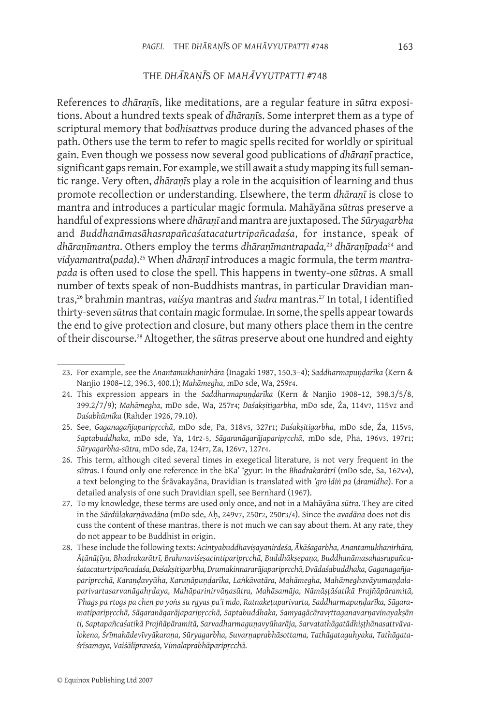# THE *DHĀRAṆĪ*S OF *MAHĀVYUTPATTI* #748

References to *dhāraṇī*s, like meditations, are a regular feature in *sūtra* expositions. About a hundred texts speak of *dhāraṇī*s. Some interpret them as a type of scriptural memory that *bodhisattva*s produce during the advanced phases of the path. Others use the term to refer to magic spells recited for worldly or spiritual gain. Even though we possess now several good publications of *dhāraṇī* practice, significant gaps remain. For example, we still await a study mapping its full semantic range. Very often, *dhāraṇī*s play a role in the acquisition of learning and thus promote recollection or understanding. Elsewhere, the term *dhāraṇī* is close to mantra and introduces a particular magic formula. Mahāyāna *sūtra*s preserve a handful of expressions where *dhāraṇī* and mantra are juxtaposed. The *Sūryagarbha* and *Buddhanāmasāhasrapañcaśatacaturtripañcadaśa*, for instance, speak of *dhāraṇīmantra*. Others employ the terms *dhāraṇīmantrapada,*<sup>23</sup> *dhāraṇīpada*24 and *vidyamantra*(*pada*).25 When *dhāraṇī* introduces a magic formula, the term *mantrapada* is often used to close the spell*.* This happens in twenty-one *sūtra*s. A small number of texts speak of non-Buddhists mantras, in particular Dravidian mantras,26 brahmin mantras, *vaiśya* mantras and *śudra* mantras.27 In total, I identified thirty-seven *sūtra*s that contain magic formulae. In some, the spells appear towards the end to give protection and closure, but many others place them in the centre of their discourse.<sup>28</sup> Altogether, the *sūtra*s preserve about one hundred and eighty

<sup>23.</sup> For example, see the *Anantamukhanirhāra* (Inagaki 1987, 150.3–4); *Saddharmapuṇḍarīka* (Kern & Nanjio 1908–12, 396.3, 400.1); *Mahāmegha*, mDo sde, Wa, 259r4.

<sup>24.</sup> This expression appears in the *Saddharmapuṇḍarīka* (Kern & Nanjio 1908–12, 398.3/5/8, 399.2/7/9); *Mahāmegha*, mDo sde, Wa, 257r4; *Daśakṣitigarbha*, mDo sde, Źa, 114v7, 115v2 and *Daśabhūmika* (Rahder 1926, 79.10).

<sup>25.</sup> See, *Gaganagañjaparipṛcchā*, mDo sde, Pa, 318v5, 327r1; *Daśakṣitigarbha*, mDo sde, Źa, 115v5, *Saptabuddhaka*, mDo sde, Ya, 14r2–5, *Sāgaranāgarājaparipṛcchā*, mDo sde, Pha, 196v3, 197r1; *Sūryagarbha-sūtra*, mDo sde, Za, 124r7, Za, 126v7, 127r4.

<sup>26.</sup> This term, although cited several times in exegetical literature, is not very frequent in the *sūtra*s. I found only one reference in the bKa' 'gyur: In the *Bhadrakarātrī* (mDo sde, Sa, 162v4), a text belonging to the Śrāvakayāna, Dravidian is translated with *'gro ldiṅ pa* (*dramidha*). For a detailed analysis of one such Dravidian spell, see Bernhard (1967).

<sup>27.</sup> To my knowledge, these terms are used only once, and not in a Mahāyāna *sūtra*. They are cited in the *Sārdūlakarṇāvadāna* (mDo sde, Aḥ, 249v7, 250r2, 250r3/4). Since the *avadāna* does not discuss the content of these mantras, there is not much we can say about them. At any rate, they do not appear to be Buddhist in origin.

<sup>28.</sup> These include the following texts: *Acintyabuddhaviṣayanirdeśa, Ākāśagarbha, Anantamukhanirhāra, Āṭānāṭīya, Bhadrakarātrī, Brahmaviśeṣacintiparipṛcchā, Buddhākṣepaṇa, Buddhanāmasahasrapañcaśatacaturtripañcadaśa, Daśakṣitigarbha, Drumakinnararājaparipṛcchā, Dvādaśabuddhaka, Gaganagañjaparipṛcchā, Karaṇḍavyūha, Karuṇāpuṇḍarīka, Laṅkāvatāra, Mahāmegha, Mahāmeghavāyumaṇḍalaparivartasarvanāgahṛdaya, Mahāparinirvāṇasūtra, Mahāsamāja, Nāmāṣṭāśatikā Prajñāpāramitā, 'Phags pa rtogs pa chen po yoṅs su rgyas pa'i mdo, Ratnakeṭuparivarta, Saddharmapuṇḍarīka, Sāgaramatiparipṛcchā, Sāgaranāgarājaparipṛcchā, Saptabuddhaka, Samyagācāravṛttaganavarṇavinayakṣān ti, Saptapañcaśatikā Prajñāpāramitā, Sarvadharmaguṇavyūharāja, Sarvatathāgatādhiṣṭhānasattvāvalokena, Śrīmahādevīvyākaraṇa, Sūryagarbha, Suvarṇaprabhāsottama, Tathāgataguhyaka, Tathāgataśrīsamaya, Vaiśālīpraveśa, Vimalaprabhāparipṛcchā.*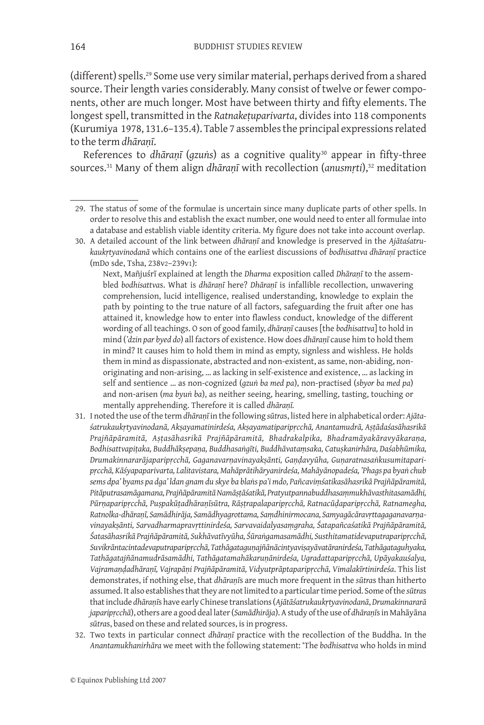(different) spells.29 Some use very similar material, perhaps derived from a shared source. Their length varies considerably. Many consist of twelve or fewer components, other are much longer. Most have between thirty and fifty elements. The longest spell, transmitted in the *Ratnakeṭuparivarta*, divides into 118 components (Kurumiya 1978, 131.6–135.4). Table 7 assembles the principal expressions related to the term *dhāraṇī*.

References to *dhāraṇī* (*gzuṅs*) as a cognitive quality<sup>30</sup> appear in fifty-three sources.<sup>31</sup> Many of them align *dhāranī* with recollection (*anusmrti*),<sup>32</sup> meditation

Next, Mañjuśrī explained at length the *Dharma* exposition called *Dhāraṇī* to the assembled *bodhisattva*s. What is *dhāraṇī* here? *Dhāraṇī* is infallible recollection, unwavering comprehension, lucid intelligence, realised understanding, knowledge to explain the path by pointing to the true nature of all factors, safeguarding the fruit after one has attained it, knowledge how to enter into flawless conduct, knowledge of the different wording of all teachings. O son of good family, *dhāraṇī* causes [the *bodhisattva*] to hold in mind (*'dzin par byed do*) all factors of existence. How does *dhāraṇī* cause him to hold them in mind? It causes him to hold them in mind as empty, signless and wishless. He holds them in mind as dispassionate, abstracted and non-existent, as same, non-abiding, nonoriginating and non-arising, … as lacking in self-existence and existence, … as lacking in self and sentience … as non-cognized (*gzuṅ ba med pa*), non-practised (*sbyor ba med pa*) and non-arisen (*ma byuṅ ba*), as neither seeing, hearing, smelling, tasting, touching or mentally apprehending. Therefore it is called *dhāraṇī.*

- 31. I noted the use of the term *dhāraṇī* in the following *sūtra*s, listed here in alphabetical order: *Ajātaśatrukaukṛtyavinodanā, Akṣayamatinirdeśa, Akṣayamatiparipṛcchā, Anantamudrā, Aṣṭādaśasāhasrikā Prajñāpāramitā, Aṣṭasāhasrikā Prajñāpāramitā, Bhadrakalpika, Bhadramāyakāravyākaraṇa, Bodhisattvapiṭaka, Buddhākṣepaṇa, Buddhasaṅgīti, Buddhāvataṃsaka, Catuṣkanirhāra, Daśabhūmika, Drumakinnararājaparipṛcchā, Gaganavarṇavinayakṣānti, Gaṇḍavyūha, Guṇaratnasaṅkusumitaparipṛcchā, Kāśyapaparivarta, Lalitavistara, Mahāprātihāryanirdeśa, Mahāyānopadeśa, 'Phags pa byaṅ chub sems dpa' byams pa dga' ldan gnam du skye ba blaṅs pa'i mdo, Pañcaviṃśatikasāhasrikā Prajñāpāramitā, Pitāputrasamāgamana, Prajñāpāramitā Namāṣṭāśatikā, Pratyutpannabuddhasaṃmukhāvasthitasamādhi, Pūrṇaparipṛcchā, Puṣpakūṭadhāraṇīsūtra, Rāṣṭrapalaparipṛcchā, Ratnacūḍaparipṛcchā, Ratnamegha, Ratnolka-dhāraṇī, Samādhirāja, Samādhyagrottama, Saṃdhinirmocana, Samyagācāravṛttagaganavarṇavinayakṣānti, Sarvadharmapravṛttinirdeśa, Sarvavaidalyasaṃgraha, Śatapañcaśatikā Prajñāpāramitā, Śatasāhasrikā Prajñāpāramitā, Sukhāvatīvyūha, Śūraṅgamasamādhi, Susthitamatidevaputraparipṛcchā, Suvikrāntacintadevaputraparipṛcchā, Tathāgataguṇajñānācintyaviṣayāvatāranirdeśa, Tathāgataguhyaka, Tathāgatajñānamudrāsamādhi, Tathāgatamahākaruṇānirdeśa, Ugradattaparipṛcchā, Upāyakauśalya, Vajramaṇḍadhāraṇī, Vajrapāṇi Prajñāpāramitā, Vidyutprāptaparipṛcchā, Vimalakīrtinirdeśa*. This list demonstrates, if nothing else, that *dhāraṇī*s are much more frequent in the *sūtra*s than hitherto assumed. It also establishes that they are not limited to a particular time period. Some of the *sūtra*s that include *dhāraṇī*s have early Chinese translations (*Ajātāśatrukaukṛtyavinodanā*, *Drumakinnararā japaripṛcchā*), others are a good deal later (*Samādhirāja*). A study of the use of *dhāraṇī*s in Mahāyāna *sūtra*s, based on these and related sources, is in progress.
- 32. Two texts in particular connect *dhāraṇī* practice with the recollection of the Buddha. In the *Anantamukhanirhāra* we meet with the following statement: 'The *bodhisattva* who holds in mind

<sup>29.</sup> The status of some of the formulae is uncertain since many duplicate parts of other spells. In order to resolve this and establish the exact number, one would need to enter all formulae into a database and establish viable identity criteria. My figure does not take into account overlap.

<sup>30.</sup> A detailed account of the link between *dhāraṇī* and knowledge is preserved in the *Ajātaśatrukaukṛtyavinodanā* which contains one of the earliest discussions of *bodhisattva dhāraṇī* practice (mDo sde, Tsha, 238v2–239v1):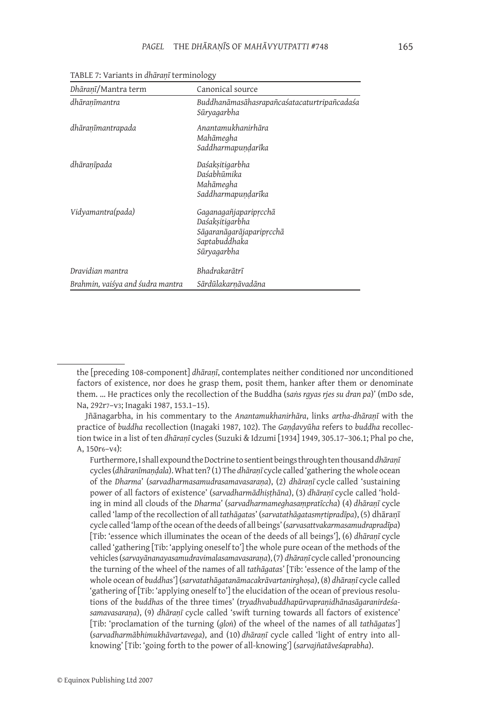| Dhāranī/Mantra term              | Canonical source                                                                                     |
|----------------------------------|------------------------------------------------------------------------------------------------------|
| dhāranīmantra                    | Buddhanāmasāhasrapañcaśatacaturtripañcadaśa<br>Sūryagarbha                                           |
| dhāranīmantrapada                | Anantamukhanirhāra<br>Mahāmegha<br>Saddharmapundarīka                                                |
| dhāranīpada                      | Daśaksitigarbha<br>Daśabhūmika<br>Mahāmegha<br>Saddharmapundarīka                                    |
| Vidyamantra(pada)                | Gaganagañjapariprcchā<br>Daśaksitigarbha<br>Sāgaranāgarājapariprcchā<br>Saptabuddhaka<br>Sūryagarbha |
| Dravidian mantra                 | Bhadrakarātrī                                                                                        |
| Brahmin, vaiśya and śudra mantra | Sārdūlakarņāvadāna                                                                                   |

Table 7: Variants in *dhāraṇī* terminology

the [preceding 108-component] *dhāraṇī*, contemplates neither conditioned nor unconditioned factors of existence, nor does he grasp them, posit them, hanker after them or denominate them. … He practices only the recollection of the Buddha (s*aṅs rgyas rjes su dran pa*)' (mDo sde, Na, 292r7–v3; Inagaki 1987, 153.1–15).

Jñānagarbha, in his commentary to the *Anantamukhanirhāra*, links *artha-dhāraṇī* with the practice of *buddha* recollection (Inagaki 1987, 102). The *Gaṇḍavyūha* refers to *buddha* recollection twice in a list of ten *dhāraṇī* cycles (Suzuki & Idzumi [1934] 1949, 305.17–306.1; Phal po che, A, 150r6–v4):

Furthermore, I shall expound the Doctrine to sentient beings through tenthousand *dhāraṇī*  cycles (*dhāranīmaṇḍala*). What ten? (1) The *dhāraṇī* cycle called 'gathering the whole ocean of the *Dharma*' (*sarvadharmasamudrasamavasaraṇa*), (2) *dhāraṇī* cycle called 'sustaining power of all factors of existence' (*sarvadharmādhiṣṭhāna*), (3) *dhāraṇī* cycle called 'holding in mind all clouds of the *Dharma*' (*sarvadharmameghasaṃpratīccha*) (4) *dhāraṇī* cycle called 'lamp of the recollection of all *tathāgata*s' (*sarvatathāgatasmṛtipradīpa*), (5) dhāraṇī cycle called 'lamp of the ocean of the deeds of all beings' (*sarvasattvakarmasamudrapradīpa*) [Tib: 'essence which illuminates the ocean of the deeds of all beings'], (6) *dhāraṇī* cycle called 'gathering [Tib: 'applying oneself to'] the whole pure ocean of the methods of the vehicles (*sarvayānanayasamudravimalasamavasaraṇa*), (7) *dhāraṇī* cycle called 'pronouncing the turning of the wheel of the names of all *tathāgata*s' [Tib: 'essence of the lamp of the whole ocean of *buddha*s'] (*sarvatathāgatanāmacakrāvartanirghoṣa*), (8) *dhāraṇī* cycle called 'gathering of [Tib: 'applying oneself to'] the elucidation of the ocean of previous resolutions of the *buddha*s of the three times' (*tryadhvabuddhapūrvapraṇidhānasāgaranirdeśasamavasaraṇa*), (9) *dhāraṇī* cycle called 'swift turning towards all factors of existence' [Tib: 'proclamation of the turning (*gloṅ*) of the wheel of the names of all *tathāgata*s'] (*sarvadharmābhimukhāvartavega*), and (10) *dhāraṇī* cycle called 'light of entry into allknowing' [Tib: 'going forth to the power of all-knowing'] (*sarvajñatāveśaprabha*).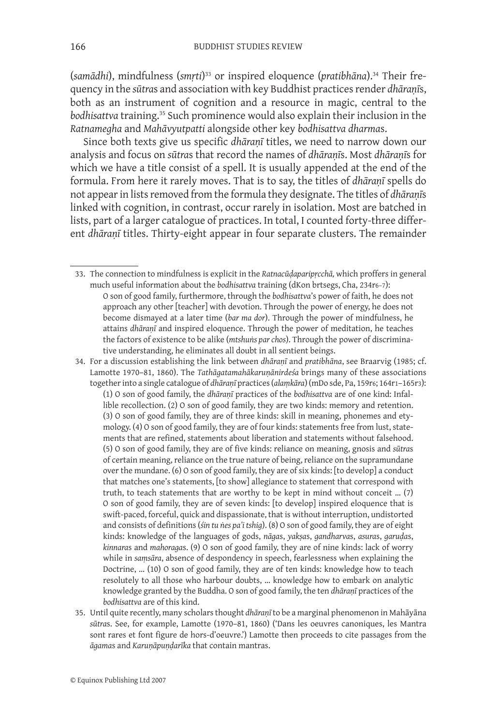(*samādhi*), mindfulness (*smṛti*) 33 or inspired eloquence (*pratibhāna*).34 Their frequency in the *sūtra*s and association with key Buddhist practices render *dhāraṇī*s, both as an instrument of cognition and a resource in magic, central to the *bodhisattva* training.35 Such prominence would also explain their inclusion in the *Ratnamegha* and *Mahāvyutpatti* alongside other key *bodhisattva dharma*s.

Since both texts give us specific *dhāraṇī* titles, we need to narrow down our analysis and focus on *sūtra*s that record the names of *dhāraṇī*s. Most *dhāraṇī*s for which we have a title consist of a spell. It is usually appended at the end of the formula. From here it rarely moves. That is to say, the titles of *dhāraṇī* spells do not appear in lists removed from the formula they designate. The titles of *dhāraṇī*s linked with cognition, in contrast, occur rarely in isolation. Most are batched in lists, part of a larger catalogue of practices. In total, I counted forty-three different *dhāraṇī* titles. Thirty-eight appear in four separate clusters. The remainder

- 33. The connection to mindfulness is explicit in the *Ratnacūḍaparipṛcchā,* which proffers in general much useful information about the *bodhisattva* training (dKon brtsegs, Cha, 234r6–7): O son of good family, furthermore, through the *bodhisattva*'s power of faith, he does not approach any other [teacher] with devotion. Through the power of energy, he does not become dismayed at a later time (*bar ma dor*). Through the power of mindfulness, he attains *dhāraṇī* and inspired eloquence. Through the power of meditation, he teaches the factors of existence to be alike (*mtshuṅs par chos*). Through the power of discriminative understanding, he eliminates all doubt in all sentient beings.
- 34. For a discussion establishing the link between *dhāraṇī* and *pratibhāna*, see Braarvig (1985; cf. Lamotte 1970–81, 1860). The *Tathāgatamahākaruṇānirdeśa* brings many of these associations together into a single catalogue of *dhāraṇī* practices (*alaṃkāra*) (mDo sde, Pa, 159r6; 164r1–165r3): (1) O son of good family, the *dhāraṇī* practices of the *bodhisattva* are of one kind: Infallible recollection. (2) O son of good family, they are two kinds: memory and retention. (3) O son of good family, they are of three kinds: skill in meaning, phonemes and etymology. (4) O son of good family, they are of four kinds: statements free from lust, statements that are refined, statements about liberation and statements without falsehood. (5) O son of good family, they are of five kinds: reliance on meaning, gnosis and *sūtra*s of certain meaning, reliance on the true nature of being, reliance on the supramundane over the mundane. (6) O son of good family, they are of six kinds: [to develop] a conduct that matches one's statements, [to show] allegiance to statement that correspond with truth, to teach statements that are worthy to be kept in mind without conceit … (7) O son of good family, they are of seven kinds: [to develop] inspired eloquence that is swift-paced, forceful, quick and dispassionate, that is without interruption, undistorted and consists of definitions (*śin tu ṅes pa'i tshig*). (8) O son of good family, they are of eight kinds: knowledge of the languages of gods, *nāga*s, *yakṣa*s, *gandharva*s, *asura*s, *garuḍa*s, *kinnara*s and *mahoraga*s. (9) O son of good family, they are of nine kinds: lack of worry while in *saṃsāra*, absence of despondency in speech, fearlessness when explaining the Doctrine, … (10) O son of good family, they are of ten kinds: knowledge how to teach resolutely to all those who harbour doubts, … knowledge how to embark on analytic knowledge granted by the Buddha. O son of good family, the ten *dhāraṇī* practices of the *bodhisattva* are of this kind.
- 35. Until quite recently, many scholars thought *dhāraṇī* to be a marginal phenomenon in Mahāyāna *sūtra*s. See, for example, Lamotte (1970–81, 1860) ('Dans les oeuvres canoniques, les Mantra sont rares et font figure de hors-d'oeuvre.') Lamotte then proceeds to cite passages from the *āgama*s and *Karuṇāpuṇḍarīka* that contain mantras.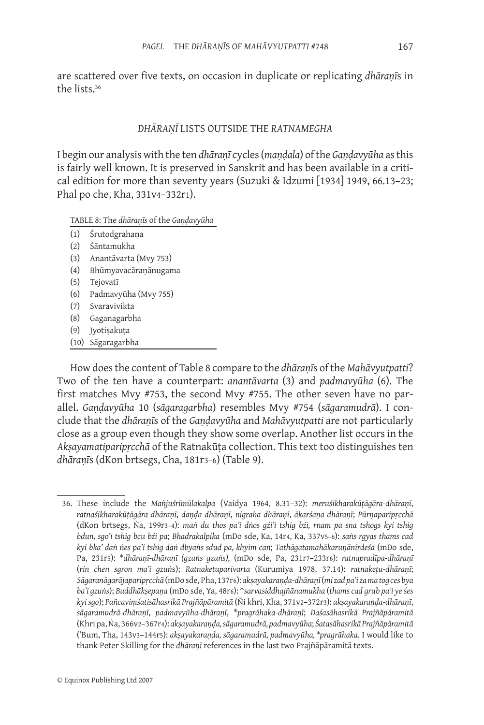are scattered over five texts, on occasion in duplicate or replicating *dhāraṇī*s in the lists.36

## *DHĀRAṆĪ* LISTS OUTSIDE THE *RATNAMEGHA*

I begin our analysis with the ten *dhāraṇī* cycles (*maṇḍala*) of the *Gaṇḍavyūha* as this is fairly well known. It is preserved in Sanskrit and has been available in a critical edition for more than seventy years (Suzuki & Idzumi [1934] 1949, 66.13–23; Phal po che, Kha, 331v4–332r1).

#### Table 8: The *dhāraṇīs* of the *Gaṇḍavyūha*

- (1) Śrutodgrahaṇa
- (2) Śāntamukha
- (3) Anantāvarta (Mvy 753)
- (4) Bhūmyavacāraṇānugama
- (5) Tejovatī
- (6) Padmavyūha (Mvy 755)
- (7) Svaravivikta
- (8) Gaganagarbha
- (9) Jyotiṣakuṭa
- (10) Sāgaragarbha

How does the content of Table 8 compare to the *dhāraṇī*s of the *Mahāvyutpatti*? Two of the ten have a counterpart: *anantāvarta* (3) and *padmavyūha* (6). The first matches Mvy #753, the second Mvy #755. The other seven have no parallel. *Gaṇḍavyūha* 10 (*sāgaragarbha*) resembles Mvy #754 (*sāgaramudrā*). I conclude that the *dhāraṇī*s of the *Gaṇḍavyūha* and *Mahāvyutpatti* are not particularly close as a group even though they show some overlap. Another list occurs in the *Akṣayamatiparipṛcchā* of the Ratnakūṭa collection. This text too distinguishes ten *dhāraṇī*s (dKon brtsegs, Cha, 181r3–6) (Table 9).

<sup>36.</sup> These include the *Mañjuśrīmūlakalpa* (Vaidya 1964, 8.31–32): *meruśikharakūṭāgāra-dhāraṇī*, *ratnaśikharakūṭāgāra-dhāraṇī*, *daṇḍa-dhāraṇī*, *nigraha-dhāraṇī*, *ākarśaṇa-dhāraṇī*; *Pūrṇaparipṛcchā* (dKon brtsegs, Ṅa, 199r3–4): *maṅ du thos pa'i dṅos gźi'i tshig bźi, rnam pa sna tshogs kyi tshig bdun, sgo'i tshig bcu bźi pa*; *Bhadrakalpika* (mDo sde, Ka, 14r4, Ka, 337v5–6): *saṅs rgyas thams cad kyi bka' daṅ ṅes pa'i tshig daṅ dbyaṅs sdud pa, khyim can*; *Tathāgatamahākaruṇānirdeśa* (mDo sde, Pa, 231r5): \**dhāraṇī-dhāraṇī (gzuṅs gzuṅs),* (mDo sde, Pa, 231r7–233r6): *ratnapradīpa-dhāraṇī* (*rin chen sgron ma'i gzuṅ*s); *Ratnakeṭuparivarta* (Kurumiya 1978, 37.14): *ratnakeṭu-dhāraṇī*; *Sāgaranāgarājaparipṛcchā* (mDo sde, Pha, 137r6): *akṣayakaraṇḍa-dhāraṇī* (*mi zad pa'i za ma tog ces bya ba'i gzuṅs*); *Buddhākṣepaṇa* (mDo sde, Ya, 48r6): \**sarvasiddhajñānamukha* (*thams cad grub pa'i ye śes kyi sgo*); *Pañcaviṃśatisāhasrikā Prajñāpāramitā* (Ñi khri, Kha, 371v2–372r3): *akṣayakaraṇḍa-dhāraṇī*, *sāgaramudrā-dhāraṇī*, *padmavyūha-dhāraṇī*, \**pragrāhaka-dhāraṇī*; *Daśasāhasrikā Prajñāpāramitā*  (Khri pa, Ṅa, 366v2–367r4): *akṣayakaraṇḍa, sāgaramudrā, padmavyūha*; *Śatasāhasrikā Prajñāpāramitā*  ('Bum, Tha, 143v3–144r5): *akṣayakaraṇḍa, sāgaramudrā, padmavyūha, \*pragrāhaka*. I would like to thank Peter Skilling for the *dhāraṇī* references in the last two Prajñāpāramitā texts.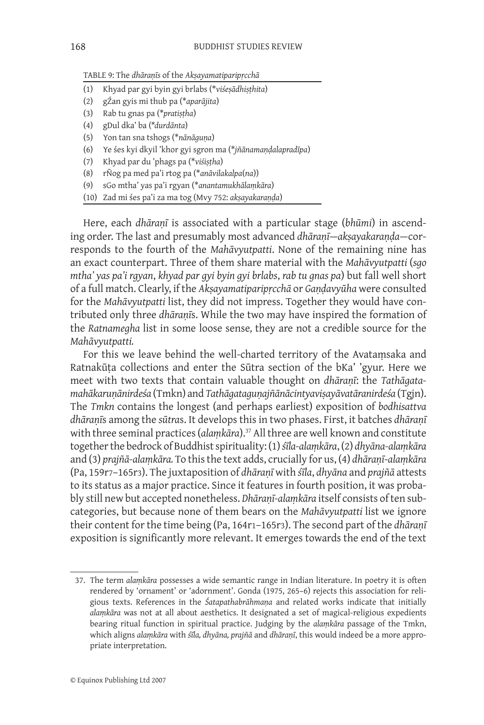Table 9: The *dhāraṇīs* of the *Akṣayamatiparipṛcchā*

- (1) Khyad par gyi byin gyi brlabs (\**viśeṣādhiṣṭhita*)
- (2) gŹan gyis mi thub pa (\**aparājita*)
- (3) Rab tu gnas pa (\**pratiṣṭha*)
- (4) gDul dka' ba (*\*durdānta*)
- (5) Yon tan sna tshogs (\**nānāguṇa*)
- (6) Ye śes kyi dkyil 'khor gyi sgron ma (\**jñānamaṇḍalapradīpa*)
- (7) Khyad par du 'phags pa (\**viśiṣṭha*)
- (8) rÑog pa med pa'i rtog pa (\**anāvilakalpa*(*na*))
- (9) sGo mtha' yas pa'i rgyan (\**anantamukhālaṃkāra*)
- (10) Zad mi śes pa'i za ma tog (Mvy 752: *akṣayakaraṇḍa*)

Here, each *dhāraṇī* is associated with a particular stage (*bhūmi*) in ascending order. The last and presumably most advanced *dhāraṇī*—*akṣayakaraṇḍa*—corresponds to the fourth of the *Mahāvyutpatti*. None of the remaining nine has an exact counterpart. Three of them share material with the *Mahāvyutpatti* (*sgo mtha' yas pa'i rgyan*, *khyad par gyi byin gyi brlabs*, *rab tu gnas pa*) but fall well short of a full match. Clearly, if the *Akṣayamatiparipṛcchā* or *Gaṇḍavyūha* were consulted for the *Mahāvyutpatti* list, they did not impress. Together they would have contributed only three *dhāraṇī*s. While the two may have inspired the formation of the *Ratnamegha* list in some loose sense*,* they are not a credible source for the *Mahāvyutpatti.*

For this we leave behind the well-charted territory of the Avataṃsaka and Ratnakūṭa collections and enter the Sūtra section of the bKa' 'gyur. Here we meet with two texts that contain valuable thought on *dhāraṇī*: the *Tathāgatamahākaruṇānirdeśa* (Tmkn) and *Tathāgataguṇajñānācintyaviṣayāvatāranirdeśa* (Tgjn). The *Tmkn* contains the longest (and perhaps earliest) exposition of *bodhisattva dhāraṇī*s among the *sūtra*s. It develops this in two phases. First, it batches *dhāraṇī*  with three seminal practices (*alaṃkāra*).37 All three are well known and constitute together the bedrock of Buddhist spirituality: (1) *śīla-alaṃkāra*, (2) *dhyāna-alaṃkāra* and (3) *prajñā-alaṃkāra.* To this the text adds, crucially for us, (4) *dhāraṇī*-*alaṃkāra* (Pa, 159r7–165r3). The juxtaposition of *dhāraṇī* with *śīla*, *dhyāna* and *prajñā* attests to its status as a major practice. Since it features in fourth position, it was probably still new but accepted nonetheless. *Dhāraṇī-alaṃkāra* itself consists of ten subcategories, but because none of them bears on the *Mahāvyutpatti* list we ignore their content for the time being (Pa, 164r1–165r3). The second part of the *dhāraṇī* exposition is significantly more relevant. It emerges towards the end of the text

<sup>37.</sup> The term *alaṃkāra* possesses a wide semantic range in Indian literature. In poetry it is often rendered by 'ornament' or 'adornment'. Gonda (1975, 265–6) rejects this association for religious texts. References in the *Śatapathabrāhmaṇa* and related works indicate that initially *alaṃkāra* was not at all about aesthetics. It designated a set of magical-religious expedients bearing ritual function in spiritual practice. Judging by the *alaṃkāra* passage of the Tmkn, which aligns *alaṃkāra* with *śīla, dhyāna, prajñā* and *dhāraṇī*, this would indeed be a more appropriate interpretation.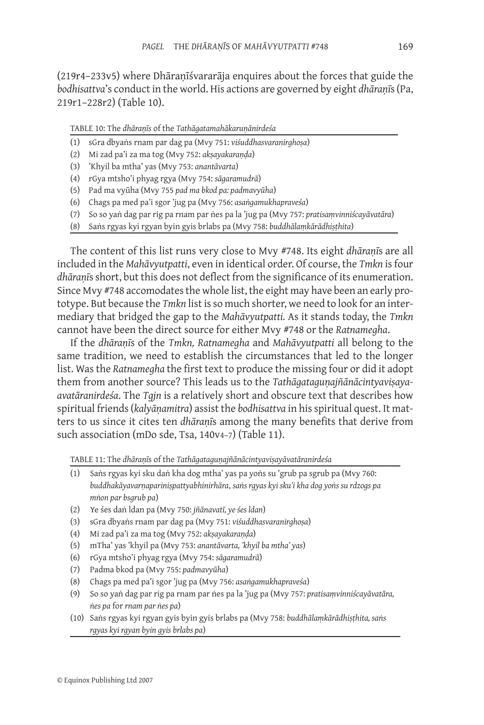(219r4–233v5) where Dhāraṇīśvararāja enquires about the forces that guide the *bodhisattva*'s conduct in the world. His actions are governed by eight *dhāraṇī*s(Pa, 219r1–228r2) (Table 10).

Table 10: The *dhāraṇīs* of the *Tathāgatamahākaruṇānirdeśa*

- (1) sGra dbyaṅs rnam par dag pa (Mvy 751: *viśuddhasvaranirghoṣa*)
- (2) Mi zad pa'i za ma tog (Mvy 752: *akṣayakaraṇḍa*)
- (3) 'Khyil ba mtha' yas (Mvy 753: *anantāvarta*)
- (4) rGya mtsho'i phyag rgya (Mvy 754: *sāgaramudrā*)
- (5) Pad ma vyūha (Mvy 755 *pad ma bkod pa: padmavyūha*)
- (6) Chags pa med pa'i sgor 'jug pa (Mvy 756: *asaṅgamukhapraveśa*)
- (7) So so yaṅ dag par rig pa rnam par ṅes pa la 'jug pa (Mvy 757: *pratisaṃvinniścayāvatāra*)
- (8) Saṅs rgyas kyi rgyan byin gyis brlabs pa (Mvy 758: *buddhālaṃkārādhiṣṭhita*)

The content of this list runs very close to Mvy #748. Its eight *dhāraṇī*s are all included in the *Mahāvyutpatti*, even in identical order. Of course, the *Tmkn* is four *dhāraṇī*sshort, but this does not deflect from the significance of its enumeration. Since Mvy #748 accomodates the whole list, the eight may have been an early prototype. But because the *Tmkn* list is so much shorter, we need to look for an intermediary that bridged the gap to the *Mahāvyutpatti.* As it stands today, the *Tmkn* cannot have been the direct source for either Mvy #748 or the *Ratnamegha*.

If the *dhāraṇī*s of the *Tmkn, Ratnamegha* and *Mahāvyutpatti* all belong to the same tradition, we need to establish the circumstances that led to the longer list. Was the *Ratnamegha* the first text to produce the missing four or did it adopt them from another source? This leads us to the *Tathāgatagunajñānācintyavisayaavatāranirdeśa*. The *Tgjn* is a relatively short and obscure text that describes how spiritual friends (*kalyāṇamitra*) assist the *bodhisattva* in his spiritual quest. It matters to us since it cites ten *dhāraṇī*s among the many benefits that derive from such association (mDo sde, Tsa, 140v4-7) (Table 11).

Table 11: The *dhāraṇī*s of the *Tathāgataguṇajñānācintyaviṣayāvatāranirdeśa*

- (1) Saṅs rgyas kyi sku daṅ kha dog mtha' yas pa yoṅs su 'grub pa sgrub pa (Mvy 760: *buddhakāyavarṇapariniṣpattyabhinirhāra*, *saṅs rgyas kyi sku'i kha dog yoṅs su rdzogs pa mṅon par bsgrub pa*)
- (2) Ye śes daṅ ldan pa (Mvy 750: *jñānavatī, ye śes ldan*)
- (3) sGra dbyaṅs rnam par dag pa (Mvy 751: *viśuddhasvaranirghoṣa*)
- (4) Mi zad pa'i za ma tog (Mvy 752: *akṣayakaraṇḍa*)
- (5) mTha' yas 'khyil pa (Mvy 753: *anantāvarta, 'khyil ba mtha' yas*)
- (6) rGya mtsho'i phyag rgya (Mvy 754: *sāgaramudrā*)
- (7) Padma bkod pa (Mvy 755: *padmavyūha*)
- (8) Chags pa med pa'i sgor 'jug pa (Mvy 756: *asaṅgamukhapraveśa*)
- (9) So so yaṅ dag par rig pa rnam par ṅes pa la 'jug pa (Mvy 757: *pratisaṃvinniścayāvatāra, ṅes pa* for *rnam par ṅes pa*)
- (10) Saṅs rgyas kyi rgyan gyis byin gyis brlabs pa (Mvy 758: *buddhālaṃkārādhiṣṭhita, saṅs rgyas kyi rgyan byin gyis brlabs pa*)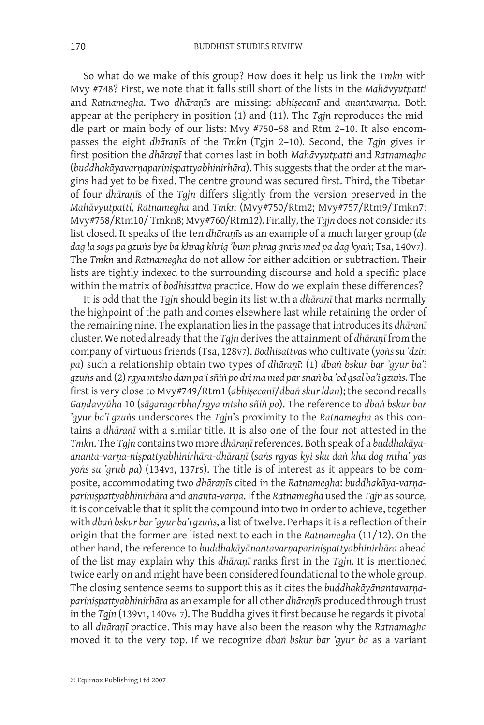So what do we make of this group? How does it help us link the *Tmkn* with Mvy #748? First, we note that it falls still short of the lists in the *Mahāvyutpatti* and *Ratnamegha*. Two *dhāraṇī*s are missing: *abhiṣecanī* and *anantavarṇa*. Both appear at the periphery in position (1) and (11). The *Tgjn* reproduces the middle part or main body of our lists: Mvy #750–58 and Rtm 2–10. It also encompasses the eight *dhāraṇī*s of the *Tmkn* (Tgjn 2–10)*.* Second, the *Tgjn* gives in first position the *dhāraṇī* that comes last in both *Mahāvyutpatti* and *Ratnamegha* (*buddhakāyavarṇapariniṣpattyabhinirhāra*). This suggests that the order at the margins had yet to be fixed. The centre ground was secured first. Third, the Tibetan of four *dhāraṇī*s of the *Tgjn* differs slightly from the version preserved in the *Mahāvyutpatti, Ratnamegha* and *Tmkn* (Mvy#750/Rtm2; Mvy#757/Rtm9/Tmkn7; Mvy#758/Rtm10/ Tmkn8; Mvy#760/Rtm12)*.* Finally*,* the *Tgjn* does not consider its list closed. It speaks of the ten *dhāraṇī*s as an example of a much larger group (*de dag la sogs pa gzuṅs bye ba khrag khrig 'bum phrag graṅs med pa dag kyaṅ*; Tsa, 140v7). The *Tmkn* and *Ratnamegha* do not allow for either addition or subtraction. Their lists are tightly indexed to the surrounding discourse and hold a specific place within the matrix of *bodhisattva* practice. How do we explain these differences?

It is odd that the *Tgjn* should begin its list with a *dhāraṇī* that marks normally the highpoint of the path and comes elsewhere last while retaining the order of the remaining nine. The explanation lies in the passage that introduces its *dhāranī* cluster. We noted already that the *Tgjn* derives the attainment of *dhāraṇī* from the company of virtuous friends (Tsa, 128v7). *Bodhisattva*s who cultivate (*yoṅs su 'dzin pa*) such a relationship obtain two types of *dhāraṇī*: (1) *dbaṅ bskur bar 'gyur ba'i gzuṅs* and (2) *rgya mtsho dam pa'i sñiṅ po dri ma med par snaṅ ba 'od gsal ba'i gzuṅs*. The first is very close to Mvy#749/Rtm1 (*abhiṣecanī*/*dbaṅ skur ldan*); the second recalls *Gaṇḍavyūha* 10 (*sāgaragarbha*/*rgya mtsho sñiṅ po*). The reference to *dbaṅ bskur bar 'gyur ba'i gzuṅs* underscores the *Tgjn*'s proximity to the *Ratnamegha* as this contains a *dhāraṇī* with a similar title. It is also one of the four not attested in the *Tmkn*. The *Tgjn* containstwo more *dhāraṇī* references. Both speak of a *buddhakāyaananta-varṇa-niṣpattyabhinirhāra*-*dhāraṇī* (*saṅs rgyas kyi sku daṅ kha dog mtha' yas yoṅs su 'grub pa*) (134v3, 137r5). The title is of interest as it appears to be composite, accommodating two *dhāraṇī*s cited in the *Ratnamegha*: *buddhakāya-varṇapariniṣpattyabhinirhāra* and *ananta-varṇa*. If the *Ratnamegha* used the *Tgjn* as source*,* it is conceivable that it split the compound into two in order to achieve, together with *dbaṅ bskur bar 'gyur ba'i gzuṅs*, a list of twelve. Perhaps it is a reflection of their origin that the former are listed next to each in the *Ratnamegha* (11/12). On the other hand, the reference to *buddhakāyānantavarṇapariniṣpattyabhinirhāra* ahead of the list may explain why this *dhāraṇī* ranks first in the *Tgjn*. It is mentioned twice early on and might have been considered foundational to the whole group. The closing sentence seems to support this as it cites the *buddhakāyānantavarṇapariniṣpattyabhinirhāra* as an example for all other *dhāraṇī*s produced through trust in the *Tgjn* (139v1, 140v6–7). The Buddha gives it first because he regards it pivotal to all *dhāraṇī* practice. This may have also been the reason why the *Ratnamegha* moved it to the very top. If we recognize *dbaṅ bskur bar 'gyur ba* as a variant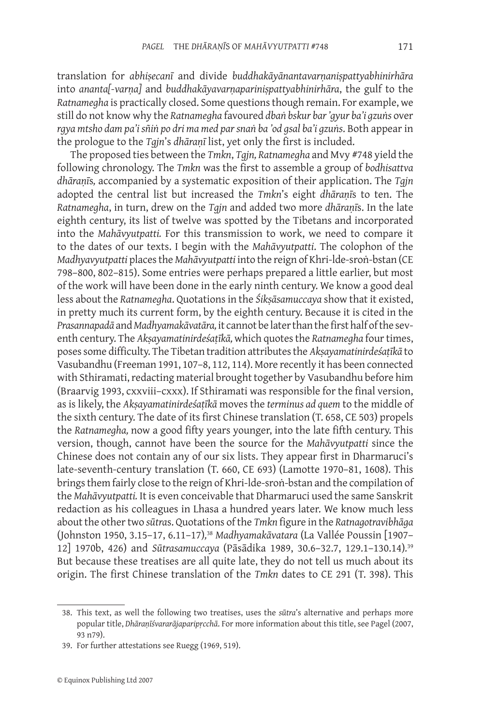translation for *abhiṣecanī* and divide *buddhakāyānantavarṇaniṣpattyabhinirhāra* into *ananta[-varṇa]* and *buddhakāyavarṇapariniṣpattyabhinirhāra*, the gulf to the *Ratnamegha* is practically closed. Some questions though remain. For example, we still do not know why the *Ratnamegha* favoured *dbaṅ bskur bar 'gyur ba'i gzuṅs* over *rgya mtsho dam pa'i sñiṅ po dri ma med par snaṅ ba 'od gsal ba'i gzuṅs*. Both appear in the prologue to the *Tgjn*'s *dhāraṇī* list, yet only the first is included.

The proposed ties between the *Tmkn*, *Tgjn, Ratnamegha* and Mvy #748 yield the following chronology. The *Tmkn* was the first to assemble a group of *bodhisattva dhāraṇī*s*,* accompanied by a systematic exposition of their application. The *Tgjn* adopted the central list but increased the *Tmkn*'s eight *dhāraṇī*s to ten. The *Ratnamegha*, in turn, drew on the *Tgjn* and added two more *dhāraṇī*s. In the late eighth century, its list of twelve was spotted by the Tibetans and incorporated into the *Mahāvyutpatti.* For this transmission to work, we need to compare it to the dates of our texts. I begin with the *Mahāvyutpatti*. The colophon of the *Madhyavyutpatti* places the *Mahāvyutpatti* into the reign of Khri-lde-sroṅ-bstan (CE 798–800, 802–815). Some entries were perhaps prepared a little earlier, but most of the work will have been done in the early ninth century. We know a good deal less about the *Ratnamegha*. Quotations in the *Śikṣāsamuccaya* show that it existed, in pretty much its current form, by the eighth century. Because it is cited in the *Prasannapadā* and *Madhyamakāvatāra,* it cannot be later than the first half of the seventh century. The *Akṣayamatinirdeśaṭīkā,* which quotes the *Ratnamegha* four times, poses some difficulty. The Tibetan tradition attributes the *Akṣayamatinirdeśaṭīkā* to Vasubandhu (Freeman 1991, 107–8, 112, 114). More recently it has been connected with Sthiramati, redacting material brought together by Vasubandhu before him (Braarvig 1993, cxxviii–cxxx). If Sthiramati was responsible for the final version, as is likely, the *Akṣayamatinirdeśaṭīkā* moves the *terminus ad quem* to the middle of the sixth century. The date of its first Chinese translation (T. 658, CE 503) propels the *Ratnamegha,* now a good fifty years younger, into the late fifth century. This version, though, cannot have been the source for the *Mahāvyutpatti* since the Chinese does not contain any of our six lists. They appear first in Dharmaruci's late-seventh-century translation (T. 660, CE 693) (Lamotte 1970–81, 1608). This brings them fairly close to the reign of Khri-lde-sroṅ-bstan and the compilation of the *Mahāvyutpatti.* It is even conceivable that Dharmaruci used the same Sanskrit redaction as his colleagues in Lhasa a hundred years later. We know much less about the other two *sūtra*s. Quotations of the *Tmkn* figure in the *Ratnagotravibhāga*  (Johnston 1950, 3.15–17, 6.11–17)*,* <sup>38</sup> *Madhyamakāvatara* (La Vallée Poussin [1907– 12] 1970b, 426) and *Sūtrasamuccaya* (Pāsādika 1989, 30.6–32.7, 129.1–130.14)*.* 39 But because these treatises are all quite late, they do not tell us much about its origin. The first Chinese translation of the *Tmkn* dates to CE 291 (T. 398). This

<sup>38.</sup> This text, as well the following two treatises, uses the *sūtra*'s alternative and perhaps more popular title, *Dhāraṇīśvararājaparipṛcchā*. For more information about this title, see Pagel (2007, 93 n79).

<sup>39.</sup> For further attestations see Ruegg (1969, 519).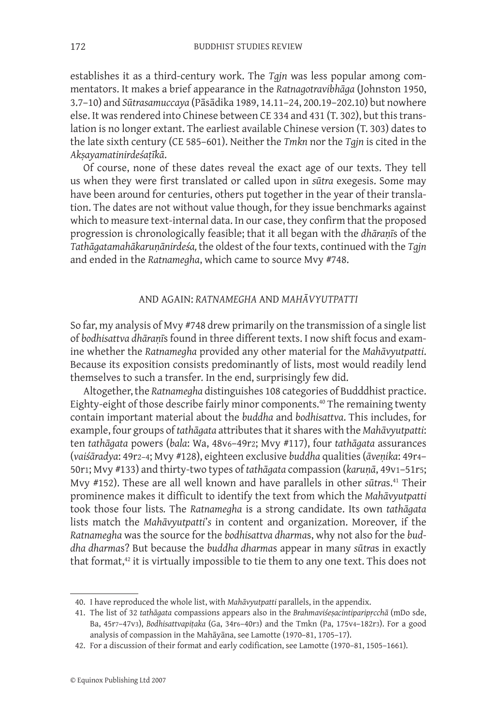establishes it as a third-century work. The *Tgjn* was less popular among commentators. It makes a brief appearance in the *Ratnagotravibhāga* (Johnston 1950, 3.7–10) and *Sūtrasamuccaya* (Pāsādika 1989, 14.11–24, 200.19–202.10) but nowhere else. It was rendered into Chinese between CE 334 and 431 (T. 302), but this translation is no longer extant. The earliest available Chinese version (T. 303) dates to the late sixth century (CE 585–601). Neither the *Tmkn* nor the *Tgjn* is cited in the *Akṣayamatinirdeśaṭīkā*.

Of course, none of these dates reveal the exact age of our texts. They tell us when they were first translated or called upon in *sūtra* exegesis. Some may have been around for centuries, others put together in the year of their translation. The dates are not without value though, for they issue benchmarks against which to measure text-internal data. In our case, they confirm that the proposed progression is chronologically feasible; that it all began with the *dhāraṇī*s of the *Tathāgatamahākaruṇānirdeśa,* the oldest of the four texts, continued with the *Tgjn* and ended in the *Ratnamegha*, which came to source Mvy #748.

## And again: *Ratnamegha* and *Mahāvyutpatti*

So far, my analysis of Mvy #748 drew primarily on the transmission of a single list of *bodhisattva dhāraṇī*s found in three different texts. I now shift focus and examine whether the *Ratnamegha* provided any other material for the *Mahāvyutpatti*. Because its exposition consists predominantly of lists, most would readily lend themselves to such a transfer*.* In the end, surprisingly few did.

Altogether, the *Ratnamegha* distinguishes 108 categories of Budddhist practice. Eighty-eight of those describe fairly minor components.<sup>40</sup> The remaining twenty contain important material about the *buddha* and *bodhisattva*. This includes, for example, four groups of *tathāgata* attributes that it shares with the *Mahāvyutpatti*: ten *tathāgata* powers (*bala*: Wa, 48v6–49r2; Mvy #117), four *tathāgata* assurances (*vaiśāradya*: 49r2–4; Mvy #128), eighteen exclusive *buddha* qualities (*āveṇika*: 49r4– 50r1; Mvy #133) and thirty-two types of *tathāgata* compassion (*karuṇā*, 49v1–51r5; Mvy #152). These are all well known and have parallels in other *sūtra*s.41 Their prominence makes it difficult to identify the text from which the *Mahāvyutpatti*  took those four lists*.* The *Ratnamegha* is a strong candidate. Its own *tathāgata* lists match the *Mahāvyutpatti*'*s* in content and organization. Moreover, if the *Ratnamegha* was the source for the *bodhisattva dharma*s, why not also for the *buddha dharma*s? But because the *buddha dharma*s appear in many *sūtra*s in exactly that format,<sup>42</sup> it is virtually impossible to tie them to any one text. This does not

<sup>40.</sup> I have reproduced the whole list, with *Mahāvyutpatti* parallels, in the appendix.

<sup>41.</sup> The list of 32 *tathāgata* compassions appears also in the *Brahmaviśeṣacintiparipṛcchā* (mDo sde, Ba, 45r7–47v3), *Bodhisattvapiṭaka* (Ga, 34r6–40r3) and the Tmkn (Pa, 175v4–182r3). For a good analysis of compassion in the Mahāyāna, see Lamotte (1970–81, 1705–17).

<sup>42.</sup> For a discussion of their format and early codification, see Lamotte (1970–81, 1505–1661).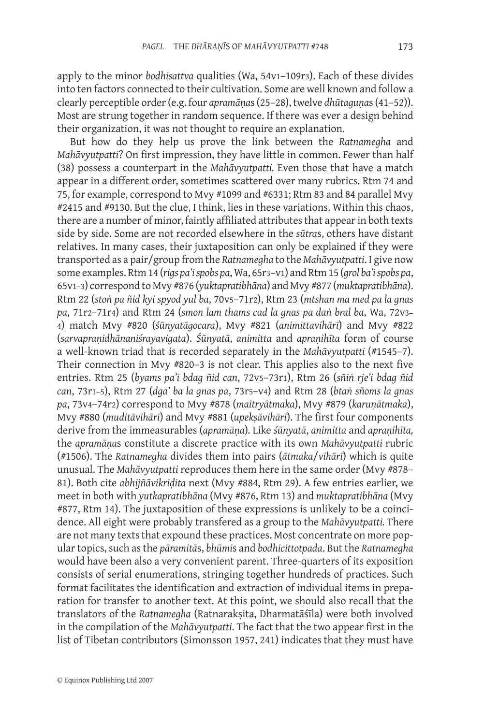apply to the minor *bodhisattva* qualities (Wa, 54v1–109r3). Each of these divides into ten factors connected to their cultivation. Some are well known and follow a clearly perceptible order (e.g. four *apramāṇa*s (25–28), twelve *dhūtaguṇa*s (41–52)). Most are strung together in random sequence. If there was ever a design behind their organization, it was not thought to require an explanation.

But how do they help us prove the link between the *Ratnamegha* and *Mahāvyutpatti*? On first impression, they have little in common. Fewer than half (38) possess a counterpart in the *Mahāvyutpatti.* Even those that have a match appear in a different order, sometimes scattered over many rubrics. Rtm 74 and 75, for example, correspond to Mvy #1099 and #6331; Rtm 83 and 84 parallel Mvy #2415 and #9130. But the clue, I think, lies in these variations. Within this chaos, there are a number of minor, faintly affiliated attributes that appear in both texts side by side. Some are not recorded elsewhere in the *sūtra*s, others have distant relatives. In many cases, their juxtaposition can only be explained if they were transported as a pair/group from the *Ratnamegha* to the *Mahāvyutpatti*. I give now some examples. Rtm 14 (*rigs pa'i spobs pa*, Wa, 65r3–v1) and Rtm 15 (*grol ba'i spobs pa*, 65v1–3) correspond to Mvy #876 (*yuktapratibhāna*) and Mvy #877 (*muktapratibhāna*). Rtm 22 (*stoṅ pa ñid kyi spyod yul ba*, 70v5–71r2), Rtm 23 (*mtshan ma med pa la gnas pa*, 71r2–71r4) and Rtm 24 (*smon lam thams cad la gnas pa daṅ bral ba*, Wa, 72v3– 4) match Mvy #820 (*śūnyatāgocara*), Mvy #821 (*animittavihārī*) and Mvy #822 (*sarvapraṇidhānaniśrayavigata*). *Śūnyatā*, *animitta* and *apraṇihīta* form of course a well-known triad that is recorded separately in the *Mahāvyutpatti* (#1545–7). Their connection in Mvy #820–3 is not clear. This applies also to the next five entries. Rtm 25 (*byams pa'i bdag ñid can*, 72v5–73r1), Rtm 26 (*sñiṅ rje'i bdag ñid can*, 73r1–5), Rtm 27 (*dga' ba la gnas pa*, 73r5–v4) and Rtm 28 (*btaṅ sñoms la gnas pa*, 73v4–74r2) correspond to Mvy #878 (*maitryātmaka*), Mvy #879 (*karuṇātmaka*), Mvy #880 (*muditāvihārī*) and Mvy #881 (*upekṣāvihārī*). The first four components derive from the immeasurables (*apramāṇa*)*.* Like *śūnyatā*, *animitta* and *apraṇihīta,*  the *apramāṇa*s constitute a discrete practice with its own *Mahāvyutpatti* rubric (#1506). The *Ratnamegha* divides them into pairs (*ātmaka*/*vihārī*) which is quite unusual. The *Mahāvyutpatti* reproduces them here in the same order (Mvy #878– 81). Both cite *abhijñāvikriḍita* next (Mvy #884, Rtm 29). A few entries earlier, we meet in both with *yutkapratibhāna* (Mvy #876, Rtm 13) and *muktapratibhāna* (Mvy #877, Rtm 14). The juxtaposition of these expressions is unlikely to be a coincidence. All eight were probably transfered as a group to the *Mahāvyutpatti.* There are not many texts that expound these practices. Most concentrate on more popular topics, such as the *pāramitā*s, *bhūmi*s and *bodhicittotpada*. But the *Ratnamegha* would have been also a very convenient parent. Three-quarters of its exposition consists of serial enumerations, stringing together hundreds of practices. Such format facilitates the identification and extraction of individual items in preparation for transfer to another text. At this point, we should also recall that the translators of the *Ratnamegha* (Ratnarakṣita, Dharmatāśīla) were both involved in the compilation of the *Mahāvyutpatti*. The fact that the two appear first in the list of Tibetan contributors (Simonsson 1957, 241) indicates that they must have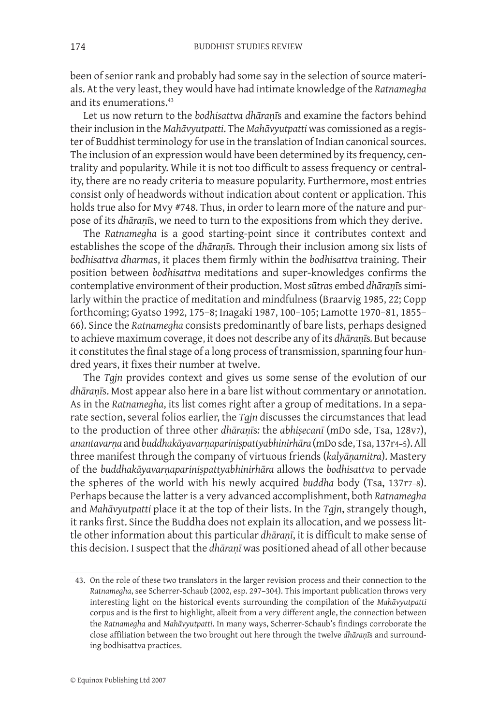been of senior rank and probably had some say in the selection of source materials. At the very least, they would have had intimate knowledge of the *Ratnamegha* and its enumerations.43

Let us now return to the *bodhisattva dhāraṇī*s and examine the factors behind their inclusion in the *Mahāvyutpatti*. The *Mahāvyutpatti* was comissioned as a register of Buddhist terminology for use in the translation of Indian canonical sources. The inclusion of an expression would have been determined by its frequency, centrality and popularity. While it is not too difficult to assess frequency or centrality, there are no ready criteria to measure popularity. Furthermore, most entries consist only of headwords without indication about content or application. This holds true also for Mvy #748. Thus, in order to learn more of the nature and purpose of its *dhāraṇī*s, we need to turn to the expositions from which they derive.

The *Ratnamegha* is a good starting-point since it contributes context and establishes the scope of the *dhāraṇī*s*.* Through their inclusion among six lists of *bodhisattva dharma*s, it places them firmly within the *bodhisattva* training. Their position between *bodhisattva* meditations and super-knowledges confirms the contemplative environment of their production. Most *sūtra*s embed *dhāraṇī*s similarly within the practice of meditation and mindfulness (Braarvig 1985, 22; Copp forthcoming; Gyatso 1992, 175–8; Inagaki 1987, 100–105; Lamotte 1970–81, 1855– 66). Since the *Ratnamegha* consists predominantly of bare lists, perhaps designed to achieve maximum coverage, it does not describe any of its *dhāraṇī*s*.* But because it constitutes the final stage of a long process of transmission, spanning four hundred years, it fixes their number at twelve.

The *Tgjn* provides context and gives us some sense of the evolution of our *dhāraṇī*s. Most appear also here in a bare list without commentary or annotation. As in the *Ratnamegha*, its list comes right after a group of meditations. In a separate section, several folios earlier, the *Tgjn* discusses the circumstances that lead to the production of three other *dhāraṇī*s*:* the *abhiṣecanī* (mDo sde, Tsa, 128v7), *anantavarṇa* and *buddhakāyavarṇapariniṣpattyabhinirhāra* (mDo sde, Tsa, 137r4–5). All three manifest through the company of virtuous friends (*kalyāṇamitra*). Mastery of the *buddhakāyavarṇapariniṣpattyabhinirhāra* allows the *bodhisattva* to pervade the spheres of the world with his newly acquired *buddha* body (Tsa, 137r7–8). Perhaps because the latter is a very advanced accomplishment, both *Ratnamegha* and *Mahāvyutpatti* place it at the top of their lists. In the *Tgjn*, strangely though, it ranks first. Since the Buddha does not explain its allocation, and we possess little other information about this particular *dhāraṇī*, it is difficult to make sense of this decision. I suspect that the *dhāraṇī* was positioned ahead of all other because

<sup>43.</sup> On the role of these two translators in the larger revision process and their connection to the *Ratnamegha*, see Scherrer-Schaub (2002, esp. 297–304). This important publication throws very interesting light on the historical events surrounding the compilation of the *Mahāvyutpatti* corpus and is the first to highlight, albeit from a very different angle, the connection between the *Ratnamegha* and *Mahāvyutpatti*. In many ways, Scherrer-Schaub's findings corroborate the close affiliation between the two brought out here through the twelve *dhāraṇī*s and surrounding bodhisattva practices.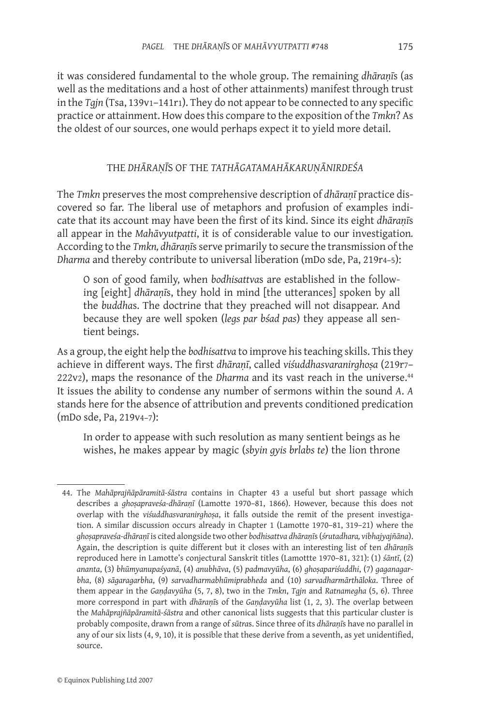it was considered fundamental to the whole group. The remaining *dhāraṇī*s (as well as the meditations and a host of other attainments) manifest through trust in the *Tgjn* (Tsa, 139v1–141r1). They do not appear to be connected to any specific practice or attainment. How does this compare to the exposition of the *Tmkn*? As the oldest of our sources, one would perhaps expect it to yield more detail.

# THE *DHĀRAṆĪ*S OF THE *TATHĀGATAMAHĀKARUṆĀNirdeśa*

The *Tmkn* preserves the most comprehensive description of *dhāraṇī* practice discovered so far. The liberal use of metaphors and profusion of examples indicate that its account may have been the first of its kind. Since its eight *dhāraṇī*s all appear in the *Mahāvyutpatti*, it is of considerable value to our investigation*.* According to the *Tmkn, dhāraṇī*s serve primarily to secure the transmission of the *Dharma* and thereby contribute to universal liberation (mDo sde, Pa, 219r4–5):

O son of good family, when *bodhisattva*s are established in the following [eight] *dhāraṇī*s, they hold in mind [the utterances] spoken by all the *buddha*s. The doctrine that they preached will not disappear. And because they are well spoken (*legs par bśad pas*) they appease all sentient beings.

As a group, the eight help the *bodhisattva* to improve his teaching skills. This they achieve in different ways. The first *dhāraṇī*, called *viśuddhasvaranirghoṣa* (219r7– 222v2), maps the resonance of the *Dharma* and its vast reach in the universe.44 It issues the ability to condense any number of sermons within the sound *A*. *A* stands here for the absence of attribution and prevents conditioned predication (mDo sde, Pa, 219v4–7):

In order to appease with such resolution as many sentient beings as he wishes, he makes appear by magic (*sbyin gyis brlabs te*) the lion throne

<sup>44.</sup> The *Mahāprajñāpāramitā-śāstra* contains in Chapter 43 a useful but short passage which describes a *ghoṣapraveśa-dhāraṇī* (Lamotte 1970–81, 1866). However, because this does not overlap with the *viśuddhasvaranirghoṣa*, it falls outside the remit of the present investigation. A similar discussion occurs already in Chapter 1 (Lamotte 1970–81, 319–21) where the *ghoṣapraveśa-dhāraṇī* is cited alongside two other *bodhisattva dhāraṇī*s (*śrutadhara, vibhajyajñāna*). Again, the description is quite different but it closes with an interesting list of ten *dhāraṇī*s reproduced here in Lamotte's conjectural Sanskrit titles (Lamottte 1970–81, 321): (1) *śāntī*, (2) *ananta*, (3) *bhūmyanupaśyanā*, (4) *anubhāva*, (5) *padmavyūha*, (6) *ghoṣapariśuddhi*, (7) *gaganagarbha*, (8) *sāgaragarbha*, (9) *sarvadharmabhūmiprabheda* and (10) *sarvadharmārthāloka*. Three of them appear in the *Gaṇḍavyūha* (5, 7, 8), two in the *Tmkn*, *Tgjn* and *Ratnamegha* (5, 6). Three more correspond in part with *dhāraṇī*s of the *Gaṇḍavyūha* list (1, 2, 3). The overlap between the *Mahāprajñāpāramitā-śāstra* and other canonical lists suggests that this particular cluster is probably composite, drawn from a range of *sūtra*s. Since three of its *dhāraṇī*s have no parallel in any of our six lists (4, 9, 10), it is possible that these derive from a seventh, as yet unidentified, source.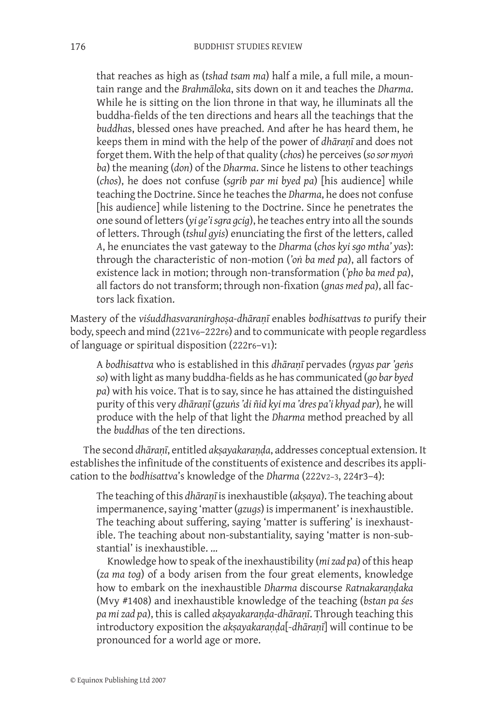that reaches as high as (*tshad tsam ma*) half a mile, a full mile, a mountain range and the *Brahmāloka*, sits down on it and teaches the *Dharma*. While he is sitting on the lion throne in that way, he illuminats all the buddha-fields of the ten directions and hears all the teachings that the *buddha*s, blessed ones have preached. And after he has heard them, he keeps them in mind with the help of the power of *dhāraṇī* and does not forget them. With the help of that quality (*chos*) he perceives (*so sor myoṅ ba*) the meaning (*don*) of the *Dharma*. Since he listens to other teachings (*chos*), he does not confuse (*sgrib par mi byed pa*) [his audience] while teaching the Doctrine. Since he teaches the *Dharma*, he does not confuse [his audience] while listening to the Doctrine. Since he penetrates the one sound of letters (*yi ge'i sgra gcig*), he teaches entry into all the sounds of letters. Through (*tshul gyis*) enunciating the first of the letters, called *A*, he enunciates the vast gateway to the *Dharma* (*chos kyi sgo mtha' yas*): through the characteristic of non-motion (*'oṅ ba med pa*), all factors of existence lack in motion; through non-transformation (*'pho ba med pa*), all factors do not transform; through non-fixation (*gnas med pa*), all factors lack fixation.

Mastery of the *viśuddhasvaranirghoṣa-dhāraṇī* enables *bodhisattva*s *to* purify their body, speech and mind (221v6–222r6) and to communicate with people regardless of language or spiritual disposition (222r6–v1):

A *bodhisattva* who is established in this *dhāraṇī* pervades (*rgyas par 'geṅs so*) with light as many buddha-fields as he has communicated (*go bar byed pa*) with his voice. That is to say, since he has attained the distinguished purity of this very *dhāraṇī* (*gzuṅs 'di ñid kyi ma 'dres pa'i khyad par*)*,* he will produce with the help of that light the *Dharma* method preached by all the *buddha*s of the ten directions.

The second *dhāraṇī*, entitled *akṣayakaraṇḍa*, addresses conceptual extension. It establishes the infinitude of the constituents of existence and describes its application to the *bodhisattva*'s knowledge of the *Dharma* (222v2–3, 224r3–4):

The teaching of this *dhāraṇī* is inexhaustible (*akṣaya*). The teaching about impermanence, saying 'matter (*gzugs*) is impermanent' is inexhaustible. The teaching about suffering, saying 'matter is suffering' is inexhaustible. The teaching about non-substantiality, saying 'matter is non-substantial' is inexhaustible. …

Knowledge how to speak of the inexhaustibility (*mi zad pa*) of this heap (*za ma tog*) of a body arisen from the four great elements, knowledge how to embark on the inexhaustible *Dharma* discourse *Ratnakaraṇḍaka* (Mvy #1408) and inexhaustible knowledge of the teaching (*bstan pa śes pa mi zad pa*), this is called *akṣayakaraṇḍa-dhāraṇī*. Through teaching this introductory exposition the *akṣayakaraṇḍa*[-*dhāraṇī*] will continue to be pronounced for a world age or more.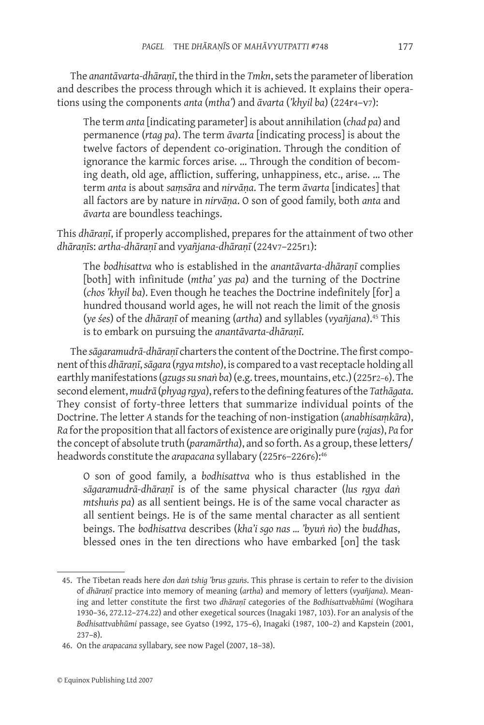The *anantāvarta-dhāraṇī*, the third in the *Tmkn*, sets the parameter of liberation and describes the process through which it is achieved. It explains their operations using the components *anta* (*mtha'*) and *āvarta* (*'khyil ba*) (224r4–v7):

The term *anta* [indicating parameter] is about annihilation (*chad pa*) and permanence (*rtag pa*). The term *āvarta* [indicating process] is about the twelve factors of dependent co-origination. Through the condition of ignorance the karmic forces arise. … Through the condition of becoming death, old age, affliction, suffering, unhappiness, etc., arise. … The term *anta* is about *saṃsāra* and *nirvāṇa*. The term *āvarta* [indicates] that all factors are by nature in *nirvāṇa*. O son of good family, both *anta* and *āvarta* are boundless teachings.

This *dhāraṇī*, if properly accomplished, prepares for the attainment of two other *dhāraṇī*s: *artha-dhāraṇī* and *vyañjana-dhāraṇī* (224v7–225r1):

The *bodhisattva* who is established in the *anantāvarta-dhāraṇī* complies [both] with infinitude (*mtha' yas pa*) and the turning of the Doctrine (*chos 'khyil ba*). Even though he teaches the Doctrine indefinitely [for] a hundred thousand world ages, he will not reach the limit of the gnosis (*ye śes*) of the *dhāraṇī* of meaning (*artha*) and syllables (*vyañjana*).45 This is to embark on pursuing the *anantāvarta-dhāraṇī*.

The *sāgaramudrā-dhāraṇī* charters the content of the Doctrine. The first component of this *dhāraṇī*, *sāgara* (*rgya mtsho*), is compared to a vast receptacle holding all earthly manifestations (*gzugs su snaṅ ba*) (e.g. trees, mountains, etc.) (225r2–6). The second element, *mudrā* (*phyag rgya*), refers to the defining features of the *Tathāgata*. They consist of forty-three letters that summarize individual points of the Doctrine. The letter *A* stands for the teaching of non-instigation (*anabhisaṃkāra*), *Ra* for the proposition that all factors of existence are originally pure (*rajas*), *Pa* for the concept of absolute truth (*paramārtha*), and so forth. As a group, these letters/ headwords constitute the *arapacana* syllabary (225r6-226r6):<sup>46</sup>

O son of good family, a *bodhisattva* who is thus established in the *sāgaramudrā-dhāraṇī* is of the same physical character (*lus rgya daṅ mtshuṅs pa*) as all sentient beings. He is of the same vocal character as all sentient beings. He is of the same mental character as all sentient beings. The *bodhisattva* describes (*kha'i sgo nas … 'byuṅ ṅo*) the *buddha*s, blessed ones in the ten directions who have embarked [on] the task

<sup>45.</sup> The Tibetan reads here *don daṅ tshig 'brus gzuṅs*. This phrase is certain to refer to the division of *dhāraṇī* practice into memory of meaning (*artha*) and memory of letters (*vyañjana*). Meaning and letter constitute the first two *dhāraṇī* categories of the *Bodhisattvabhūmi* (Wogihara 1930–36, 272.12–274.22) and other exegetical sources (Inagaki 1987, 103). For an analysis of the *Bodhisattvabhūmi* passage, see Gyatso (1992, 175–6), Inagaki (1987, 100–2) and Kapstein (2001, 237–8).

<sup>46.</sup> On the *arapacana* syllabary, see now Pagel (2007, 18–38).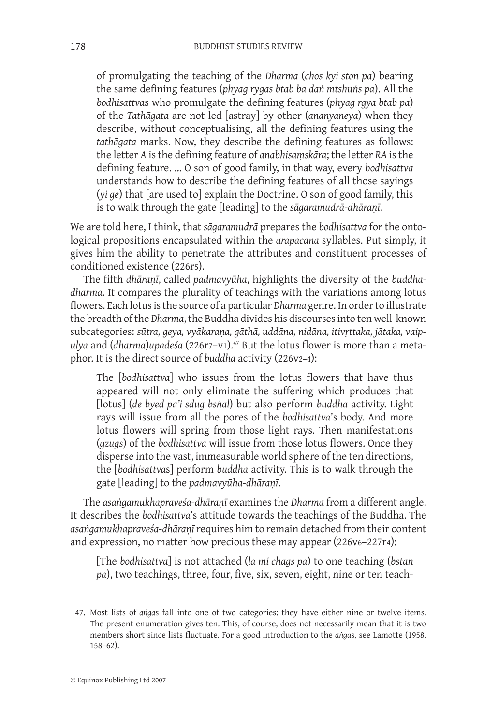of promulgating the teaching of the *Dharma* (*chos kyi ston pa*) bearing the same defining features (*phyag rygas btab ba daṅ mtshuṅs pa*). All the *bodhisattva*s who promulgate the defining features (*phyag rgya btab pa*) of the *Tathāgata* are not led [astray] by other (*ananyaneya*) when they describe, without conceptualising, all the defining features using the *tathāgata* marks. Now, they describe the defining features as follows: the letter *A* is the defining feature of *anabhisaṃskāra*; the letter *RA* is the defining feature. … O son of good family, in that way, every *bodhisattva* understands how to describe the defining features of all those sayings (*yi ge*) that [are used to] explain the Doctrine. O son of good family, this is to walk through the gate [leading] to the *sāgaramudrā-dhāraṇī*.

We are told here, I think, that *sāgaramudrā* prepares the *bodhisattva* for the ontological propositions encapsulated within the *arapacana* syllables. Put simply, it gives him the ability to penetrate the attributes and constituent processes of conditioned existence (226r5).

The fifth *dhāraṇī*, called *padmavyūha*, highlights the diversity of the *buddhadharma*. It compares the plurality of teachings with the variations among lotus flowers. Each lotus is the source of a particular *Dharma* genre. In order to illustrate the breadth of the *Dharma*, the Buddha divides his discourses into ten well-known subcategories: *sūtra, geya, vyākaraṇa, gāthā, uddāna, nidāna, itivṛttaka, jātaka, vaipulya* and (*dharma*)*upadeśa* (226r7–v1).47 But the lotus flower is more than a metaphor. It is the direct source of *buddha* activity (226v2–4):

The [*bodhisattva*] who issues from the lotus flowers that have thus appeared will not only eliminate the suffering which produces that [lotus] (*de byed pa'i sdug bsṅal*) but also perform *buddha* activity. Light rays will issue from all the pores of the *bodhisattva*'s body. And more lotus flowers will spring from those light rays. Then manifestations (*gzugs*) of the *bodhisattva* will issue from those lotus flowers. Once they disperse into the vast, immeasurable world sphere of the ten directions, the [*bodhisattva*s] perform *buddha* activity. This is to walk through the gate [leading] to the *padmavyūha-dhāraṇī*.

The *asaṅgamukhapraveśa-dhāraṇī* examines the *Dharma* from a different angle. It describes the *bodhisattva*'s attitude towards the teachings of the Buddha. The *asaṅgamukhapraveśa-dhāraṇī* requires him to remain detached from their content and expression, no matter how precious these may appear (226v6–227r4):

[The *bodhisattva*] is not attached (*la mi chags pa*) to one teaching (*bstan pa*), two teachings, three, four, five, six, seven, eight, nine or ten teach-

<sup>47.</sup> Most lists of *aṅga*s fall into one of two categories: they have either nine or twelve items. The present enumeration gives ten. This, of course, does not necessarily mean that it is two members short since lists fluctuate. For a good introduction to the *aṅga*s, see Lamotte (1958, 158–62).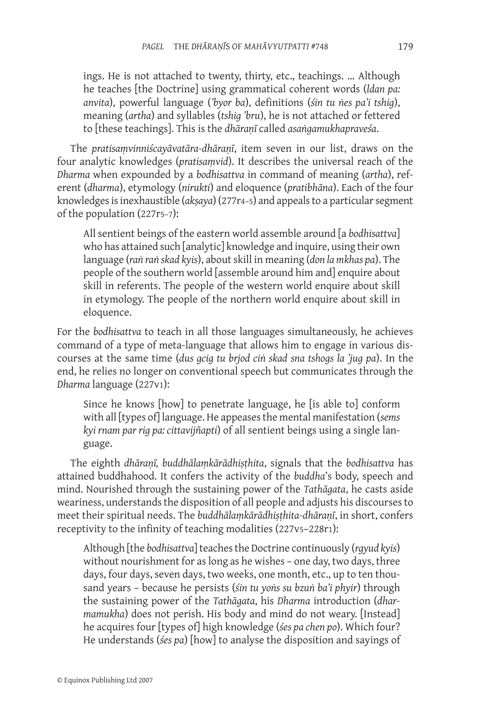ings. He is not attached to twenty, thirty, etc., teachings. … Although he teaches [the Doctrine] using grammatical coherent words (*ldan pa: anvita*), powerful language (*'byor ba*), definitions (*śin tu ṅes pa'i tshig*), meaning (*artha*) and syllables (*tshig 'bru*), he is not attached or fettered to [these teachings]. This is the *dhāraṇī* called *asaṅgamukhapraveśa*.

The *pratisaṃvinniścayāvatāra-dhāraṇī*, item seven in our list, draws on the four analytic knowledges (*pratisaṃvid*). It describes the universal reach of the *Dharma* when expounded by a *bodhisattva* in command of meaning (*artha*), referent (*dharma*), etymology (*nirukti*) and eloquence (*pratibhāna*). Each of the four knowledges is inexhaustible (*akṣaya*) (277r4–5) and appeals to a particular segment of the population (227r5–7):

All sentient beings of the eastern world assemble around [a *bodhisattva*] who has attained such [analytic] knowledge and inquire, using their own language (*raṅ raṅ skad kyis*), about skill in meaning (*don la mkhas pa*). The people of the southern world [assemble around him and] enquire about skill in referents. The people of the western world enquire about skill in etymology. The people of the northern world enquire about skill in eloquence.

For the *bodhisattva* to teach in all those languages simultaneously, he achieves command of a type of meta-language that allows him to engage in various discourses at the same time (*dus gcig tu brjod ciṅ skad sna tshogs la 'jug pa*). In the end, he relies no longer on conventional speech but communicates through the *Dharma* language (227v1):

Since he knows [how] to penetrate language, he [is able to] conform with all [types of] language. He appeases the mental manifestation (*sems kyi rnam par rig pa: cittavijñapti*) of all sentient beings using a single language.

The eighth *dhāraṇī, buddhālaṃkārādhiṣṭhita*, signals that the *bodhisattva* has attained buddhahood. It confers the activity of the *buddha*'s body, speech and mind. Nourished through the sustaining power of the *Tathāgata*, he casts aside weariness, understands the disposition of all people and adjusts his discourses to meet their spiritual needs. The *buddhālaṃkārādhiṣṭhita-dhāraṇī*, in short, confers receptivity to the infinity of teaching modalities (227v5–228r1):

Although [the *bodhisattva*] teaches the Doctrine continuously (*rgyud kyis*) without nourishment for as long as he wishes – one day, two days, three days, four days, seven days, two weeks, one month, etc., up to ten thousand years – because he persists (*śin tu yoṅs su bzuṅ ba'i phyir*) through the sustaining power of the *Tathāgata*, his *Dharma* introduction (*dharmamukha*) does not perish. His body and mind do not weary. [Instead] he acquires four [types of] high knowledge (*śes pa chen po*). Which four? He understands (*śes pa*) [how] to analyse the disposition and sayings of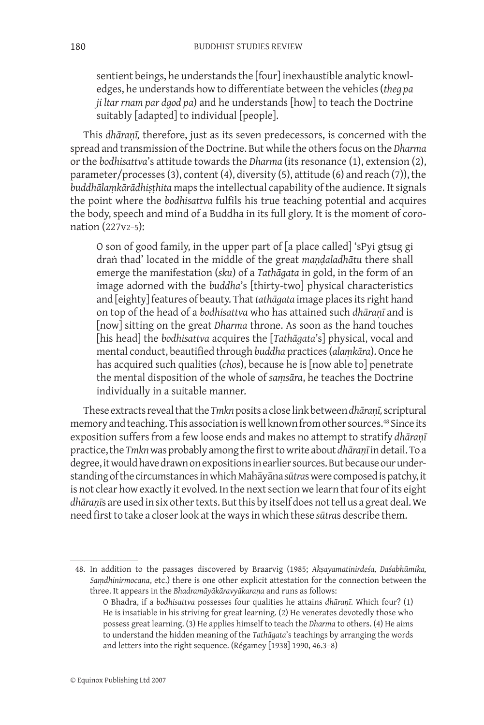sentient beings, he understands the [four] inexhaustible analytic knowledges, he understands how to differentiate between the vehicles (*theg pa ji ltar rnam par dgod pa*) and he understands [how] to teach the Doctrine suitably [adapted] to individual [people].

This *dhāraṇī,* therefore, just as its seven predecessors, is concerned with the spread and transmission of the Doctrine. But while the others focus on the *Dharma*  or the *bodhisattva*'s attitude towards the *Dharma* (its resonance (1), extension (2), parameter/processes (3), content (4), diversity (5), attitude (6) and reach (7)), the *buddhālaṃkārādhiṣṭhita* maps the intellectual capability of the audience. It signals the point where the *bodhisattva* fulfils his true teaching potential and acquires the body, speech and mind of a Buddha in its full glory. It is the moment of coronation (227v2–5):

O son of good family, in the upper part of [a place called] 'sPyi gtsug gi draṅ thad' located in the middle of the great *maṇḍaladhātu* there shall emerge the manifestation (*sku*) of a *Tathāgata* in gold, in the form of an image adorned with the *buddha*'s [thirty-two] physical characteristics and [eighty] features of beauty. That *tathāgata* image places its right hand on top of the head of a *bodhisattva* who has attained such *dhāraṇī* and is [now] sitting on the great *Dharma* throne. As soon as the hand touches [his head] the *bodhisattva* acquires the [*Tathāgata*'s] physical, vocal and mental conduct, beautified through *buddha* practices (*alaṃkāra*). Once he has acquired such qualities (*chos*), because he is [now able to] penetrate the mental disposition of the whole of *saṃsāra*, he teaches the Doctrine individually in a suitable manner.

These extracts reveal that the *Tmkn* posits a close link between *dhāraṇī,* scriptural memory and teaching. This association is well known from other sources.<sup>48</sup> Since its exposition suffers from a few loose ends and makes no attempt to stratify *dhāraṇī* practice, the *Tmkn* was probably among the first to write about *dhāraṇī* in detail. To a degree, it would have drawn on expositions in earlier sources. But because our understanding of the circumstances in which Mahāyāna *sūtra*s were composed is patchy, it is not clear how exactly it evolved*.*In the next section we learn that four of its eight *dhāraṇī*s are used in six other texts. But this by itself does not tell us a great deal. We need first to take a closer look at the ways in which these *sūtra*s describe them.

48. In addition to the passages discovered by Braarvig (1985; *Akṣayamatinirdeśa, Daśabhūmika, Saṃdhinirmocana*, etc.) there is one other explicit attestation for the connection between the three. It appears in the *Bhadramāyākāravyākaraṇa* and runs as follows:

O Bhadra, if a *bodhisattva* possesses four qualities he attains *dhāraṇī*. Which four? (1) He is insatiable in his striving for great learning. (2) He venerates devotedly those who possess great learning. (3) He applies himself to teach the *Dharma* to others. (4) He aims to understand the hidden meaning of the *Tathāgata*'s teachings by arranging the words and letters into the right sequence. (Régamey [1938] 1990, 46.3–8)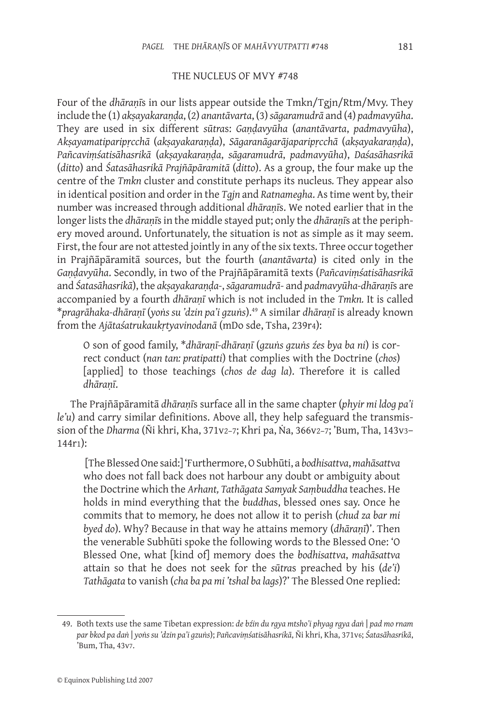#### THE NUCLEUS OF MVY #748

Four of the *dhāraṇī*s in our lists appear outside the Tmkn/Tgjn/Rtm/Mvy. They include the (1) *akṣayakaraṇḍa*, (2) *anantāvarta*, (3) *sāgaramudrā* and (4) *padmavyūha*. They are used in six different *sūtra*s: *Gaṇḍavyūha* (*anantāvarta*, *padmavyūha*), *Akṣayamatiparipṛcchā* (*akṣayakaraṇḍa*), *Sāgaranāgarājaparipṛcchā* (*akṣayakaraṇḍa*), *Pañcaviṃśatisāhasrikā* (*akṣayakaraṇḍa*, *sāgaramudrā*, *padmavyūha*), *Daśasāhasrikā* (*ditto*) and *Śatasāhasrikā Prajñāpāramitā* (*ditto*). As a group, the four make up the centre of the *Tmkn* cluster and constitute perhaps its nucleus*.* They appear also in identical position and order in the *Tgjn* and *Ratnamegha*. As time went by, their number was increased through additional *dhāraṇī*s. We noted earlier that in the longer lists the *dhāraṇī*s in the middle stayed put; only the *dhāraṇī*s at the periphery moved around. Unfortunately, the situation is not as simple as it may seem. First, the four are not attested jointly in any of the six texts. Three occur together in Prajñāpāramitā sources, but the fourth (*anantāvarta*) is cited only in the *Gaṇḍavyūha*. Secondly, in two of the Prajñāpāramitā texts (*Pañcaviṃśatisāhasrikā* and *Śatasāhasrikā*), the *akṣayakaraṇḍa-*, *sāgaramudrā-* and *padmavyūha-dhāraṇī*s are accompanied by a fourth *dhāraṇī* which is not included in the *Tmkn.* It is called \**pragrāhaka-dhāraṇī* (*yoṅs su 'dzin pa'i gzuṅs*).49 A similar *dhāraṇī* is already known from the *Ajātaśatrukaukṛtyavinodanā* (mDo sde, Tsha, 239r4):

O son of good family, \**dhāraṇī-dhāraṇī* (*gzuṅs gzuṅs źes bya ba ni*) is correct conduct (*nan tan: pratipatti*) that complies with the Doctrine (*chos*) [applied] to those teachings (*chos de dag la*). Therefore it is called *dhāraṇī*.

The Prajñāpāramitā *dhāraṇī*s surface all in the same chapter (*phyir mi ldog pa'i le'u*) and carry similar definitions. Above all, they help safeguard the transmission of the *Dharma* (Ñi khri, Kha, 371v2-7; Khri pa, Na, 366v2-7; 'Bum, Tha, 143v3-144r1):

 [The Blessed One said:] 'Furthermore, O Subhūti, a *bodhisattva*, *mahāsattva* who does not fall back does not harbour any doubt or ambiguity about the Doctrine which the *Arhant, Tathāgata Samyak Saṃbuddha* teaches. He holds in mind everything that the *buddha*s, blessed ones say. Once he commits that to memory, he does not allow it to perish (*chud za bar mi byed do*). Why? Because in that way he attains memory (*dhāraṇī*)'. Then the venerable Subhūti spoke the following words to the Blessed One: 'O Blessed One, what [kind of] memory does the *bodhisattva*, *mahāsattva* attain so that he does not seek for the *sūtra*s preached by his (*de'i*) *Tathāgata* to vanish (*cha ba pa mi 'tshal ba lags*)?' The Blessed One replied:

<sup>49.</sup> Both texts use the same Tibetan expression: *de bźin du rgya mtsho'i phyag rgya daṅ* | *pad mo rnam par bkod pa daṅ* | *yoṅs su 'dzin pa'i gzuṅs*); *Pañcaviṃśatisāhasrikā*, Ñi khri, Kha, 371v6; *Śatasāhasrikā*, 'Bum, Tha, 43v7.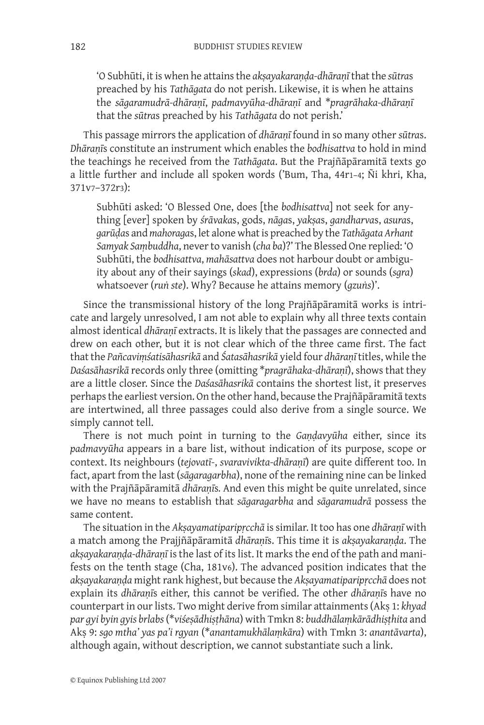'O Subhūti, it is when he attains the *akṣayakaraṇḍa-dhāraṇī* that the *sūtra*s preached by his *Tathāgata* do not perish. Likewise, it is when he attains the *sāgaramudrā-dhāraṇī*, *padmavyūha-dhāraṇī* and \**pragrāhaka-dhāraṇī*  that the *sūtra*s preached by his *Tathāgata* do not perish.'

This passage mirrors the application of *dhāraṇī* found in so many other *sūtra*s. *Dhāraṇī*s constitute an instrument which enables the *bodhisattva* to hold in mind the teachings he received from the *Tathāgata*. But the Prajñāpāramitā texts go a little further and include all spoken words ('Bum, Tha, 44r1–4; Ñi khri, Kha, 371v7–372r3):

Subhūti asked: 'O Blessed One, does [the *bodhisattva*] not seek for anything [ever] spoken by *śrāvaka*s, gods, *nāga*s, *yakṣa*s, *gandharva*s, *asura*s, *garūḍa*s and *mahoraga*s, let alone what is preached by the *Tathāgata Arhant Samyak Saṃbuddha*, never to vanish (*cha ba*)?' The Blessed One replied: 'O Subhūti, the *bodhisattva*, *mahāsattva* does not harbour doubt or ambiguity about any of their sayings (*skad*), expressions (*brda*) or sounds (*sgra*) whatsoever (*ruṅ ste*). Why? Because he attains memory (*gzuṅs*)'.

Since the transmissional history of the long Prajñāpāramitā works is intricate and largely unresolved, I am not able to explain why all three texts contain almost identical *dhāraṇī* extracts. It is likely that the passages are connected and drew on each other, but it is not clear which of the three came first. The fact that the *Pañcaviṃśatisāhasrikā* and *Śatasāhasrikā* yield four *dhāraṇī* titles, while the *Daśasāhasrikā* records only three (omitting \**pragrāhaka-dhāraṇī*), shows that they are a little closer. Since the *Daśasāhasrikā* contains the shortest list, it preserves perhaps the earliest version. On the other hand, because the Prajñāpāramitā texts are intertwined, all three passages could also derive from a single source. We simply cannot tell.

There is not much point in turning to the *Gaṇḍavyūha* either, since its *padmavyūha* appears in a bare list, without indication of its purpose, scope or context. Its neighbours (*tejovatī-*, *svaravivikta-dhāraṇī*) are quite different too. In fact, apart from the last (*sāgaragarbha*), none of the remaining nine can be linked with the Prajñāpāramitā *dhāraṇī*s*.* And even this might be quite unrelated, since we have no means to establish that *sāgaragarbha* and *sāgaramudrā* possess the same content.

The situation in the *Akṣayamatiparipṛcchā* is similar. It too has one *dhāraṇī* with a match among the Prajjñāpāramitā *dhāraṇī*s. This time it is *akṣayakaraṇḍa*. The *akṣayakaraṇḍa-dhāraṇī* is the last of its list. It marks the end of the path and manifests on the tenth stage (Cha, 181v6). The advanced position indicates that the *akṣayakaraṇḍa* might rank highest, but because the *Akṣayamatiparipṛcchā* does not explain its *dhāraṇī*s either, this cannot be verified. The other *dhāraṇī*s have no counterpart in our lists. Two might derive from similar attainments (Akṣ 1: *khyad par gyi byin gyis brlabs* (\**viśeṣādhiṣṭhāna*) with Tmkn 8: *buddhālaṃkārādhiṣṭhita* and Akṣ 9: *sgo mtha' yas pa'i rgyan* (\**anantamukhālaṃkāra*) with Tmkn 3: *anantāvarta*), although again, without description, we cannot substantiate such a link.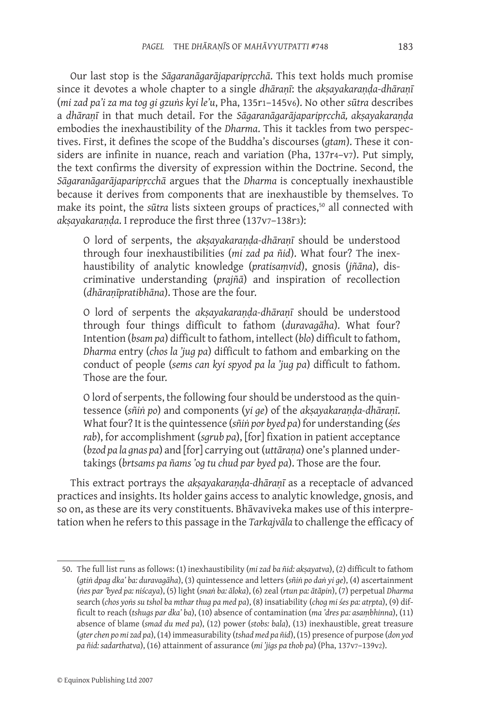Our last stop is the *Sāgaranāgarājaparipṛcchā*. This text holds much promise since it devotes a whole chapter to a single *dhāraṇī*: the *akṣayakaraṇḍa-dhāraṇī* (*mi zad pa'i za ma tog gi gzuṅs kyi le'u*, Pha, 135r1–145v6). No other *sūtra* describes a *dhāraṇī* in that much detail. For the *Sāgaranāgarājaparipṛcchā, akṣayakaraṇḍa* embodies the inexhaustibility of the *Dharma*. This it tackles from two perspectives. First, it defines the scope of the Buddha's discourses (*gtam*). These it considers are infinite in nuance, reach and variation (Pha, 137r4-v7). Put simply, the text confirms the diversity of expression within the Doctrine. Second, the *Sāgaranāgarājaparipṛcchā* argues that the *Dharma* is conceptually inexhaustible because it derives from components that are inexhaustible by themselves. To make its point, the *sūtra* lists sixteen groups of practices,<sup>50</sup> all connected with *akṣayakaraṇḍa*. I reproduce the first three (137v7–138r3):

O lord of serpents, the *akṣayakaraṇḍa-dhāraṇī* should be understood through four inexhaustibilities (*mi zad pa ñid*). What four? The inexhaustibility of analytic knowledge (*pratisaṃvid*), gnosis (*jñāna*), discriminative understanding (*prajñā*) and inspiration of recollection (*dhāraṇīpratibhāna*). Those are the four.

O lord of serpents the *akṣayakaraṇḍa-dhāraṇī* should be understood through four things difficult to fathom (*duravagāha*). What four? Intention (*bsam pa*) difficult to fathom, intellect (*blo*) difficult to fathom, *Dharma* entry (*chos la 'jug pa*) difficult to fathom and embarking on the conduct of people (*sems can kyi spyod pa la 'jug pa*) difficult to fathom. Those are the four.

O lord of serpents, the following four should be understood as the quintessence (*sñiṅ po*) and components (*yi ge*) of the *akṣayakaraṇḍa-dhāraṇī*. What four? It is the quintessence (*sñiṅ por byed pa*) for understanding (*śes rab*), for accomplishment (*sgrub pa*), [for] fixation in patient acceptance (*bzod pa la gnas pa*) and [for] carrying out (*uttāraṇa*) one's planned undertakings (*brtsams pa ñams 'og tu chud par byed pa*). Those are the four.

This extract portrays the *akṣayakaraṇḍa-dhāraṇī* as a receptacle of advanced practices and insights. Its holder gains access to analytic knowledge, gnosis, and so on, as these are its very constituents. Bhāvaviveka makes use of this interpretation when he refers to this passage in the *Tarkajvāla* to challenge the efficacy of

<sup>50.</sup> The full list runs as follows: (1) inexhaustibility (*mi zad ba ñid: akṣayatva*), (2) difficult to fathom (*gtiṅ dpag dka' ba: duravagāha*), (3) quintessence and letters (*sñiṅ po daṅ yi ge*), (4) ascertainment (*ṅes par 'byed pa: niścaya*), (5) light (*snaṅ ba: āloka*), (6) zeal (*rtun pa: ātāpin*), (7) perpetual *Dharma* search (*chos yoṅs su tshol ba mthar thug pa med pa*), (8) insatiability (*chog mi śes pa: atṛpta*), (9) difficult to reach (*tshugs par dka' ba*), (10) absence of contamination (*ma 'dres pa: asaṃbhinna*), (11) absence of blame (*smad du med pa*), (12) power (*stobs: bala*), (13) inexhaustible, great treasure (*gter chen po mi zad pa*), (14) immeasurability (*tshad med pa ñid*), (15) presence of purpose (*don yod pa ñid: sadarthatva*), (16) attainment of assurance (*mi 'jigs pa thob pa*) (Pha, 137v7–139v2).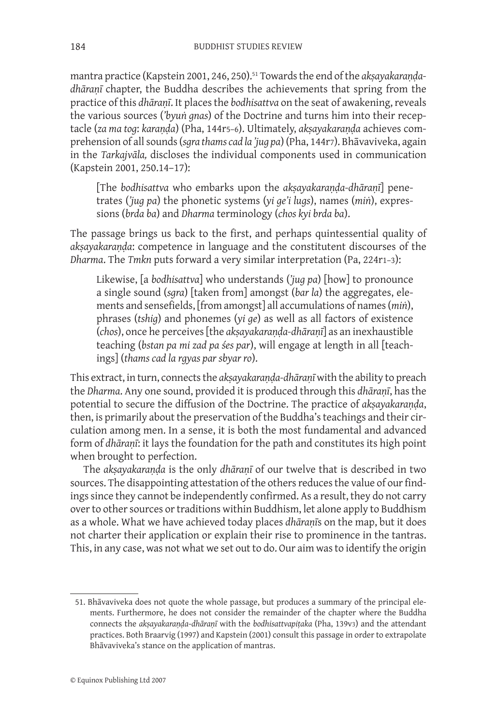mantra practice (Kapstein 2001, 246, 250).<sup>51</sup> Towards the end of the *aksayakarandadhāraṇī* chapter, the Buddha describes the achievements that spring from the practice of this *dhāraṇī*. It places the *bodhisattva* on the seat of awakening, reveals the various sources (*'byuṅ gnas*) of the Doctrine and turns him into their receptacle (*za ma tog*: *karaṇḍa*) (Pha, 144r5–6). Ultimately, *akṣayakaraṇḍa* achieves comprehension of all sounds (*sgra thams cad la 'jug pa*) (Pha, 144r7). Bhāvaviveka, again in the *Tarkajvāla,* discloses the individual components used in communication (Kapstein 2001, 250.14–17):

[The *bodhisattva* who embarks upon the *akṣayakaraṇḍa-dhāraṇī*] penetrates (*'jug pa*) the phonetic systems (*yi ge'i lugs*), names (*miṅ*), expressions (*brda ba*) and *Dharma* terminology (*chos kyi brda ba*).

The passage brings us back to the first, and perhaps quintessential quality of *akṣayakaraṇḍa*: competence in language and the constitutent discourses of the *Dharma*. The *Tmkn* puts forward a very similar interpretation (Pa, 224r1–3):

Likewise, [a *bodhisattva*] who understands (*'jug pa*) [how] to pronounce a single sound (*sgra*) [taken from] amongst (*bar la*) the aggregates, elements and sensefields, [from amongst] all accumulations of names (*miṅ*), phrases (*tshig*) and phonemes (*yi ge*) as well as all factors of existence (*chos*), once he perceives [the *akṣayakaraṇḍa-dhāraṇī*] as an inexhaustible teaching (*bstan pa mi zad pa śes par*), will engage at length in all [teachings] (*thams cad la rgyas par sbyar ro*).

This extract, in turn, connects the *akṣayakaraṇḍa-dhāraṇī* with the ability to preach the *Dharma*. Any one sound, provided it is produced through this *dhāraṇī*, has the potential to secure the diffusion of the Doctrine. The practice of *akṣayakaraṇḍa*, then, is primarily about the preservation of the Buddha's teachings and their circulation among men. In a sense, it is both the most fundamental and advanced form of *dhāraṇī*: it lays the foundation for the path and constitutes its high point when brought to perfection.

The *akṣayakaraṇḍa* is the only *dhāraṇī* of our twelve that is described in two sources. The disappointing attestation of the others reduces the value of our findings since they cannot be independently confirmed. As a result, they do not carry over to other sources or traditions within Buddhism, let alone apply to Buddhism as a whole. What we have achieved today places *dhāraṇī*s on the map, but it does not charter their application or explain their rise to prominence in the tantras. This, in any case, was not what we set out to do. Our aim was to identify the origin

<sup>51.</sup> Bhāvaviveka does not quote the whole passage, but produces a summary of the principal elements. Furthermore, he does not consider the remainder of the chapter where the Buddha connects the *akṣayakaraṇḍa*-*dhāraṇī* with the *bodhisattvapiṭaka* (Pha, 139v3) and the attendant practices. Both Braarvig (1997) and Kapstein (2001) consult this passage in order to extrapolate Bhāvaviveka's stance on the application of mantras.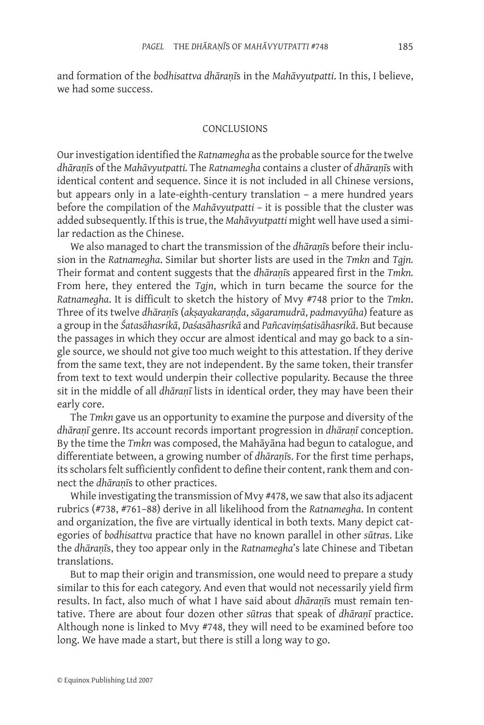and formation of the *bodhisattva dhāraṇī*s in the *Mahāvyutpatti*. In this, I believe, we had some success.

#### **CONCLUSIONS**

Our investigation identified the *Ratnamegha* as the probable source for the twelve *dhāraṇī*s of the *Mahāvyutpatti.* The *Ratnamegha* contains a cluster of *dhāraṇī*s with identical content and sequence. Since it is not included in all Chinese versions, but appears only in a late-eighth-century translation – a mere hundred years before the compilation of the *Mahāvyutpatti* – it is possible that the cluster was added subsequently. If this is true, the *Mahāvyutpatti* might well have used a similar redaction as the Chinese.

We also managed to chart the transmission of the *dhāraṇī*s before their inclusion in the *Ratnamegha*. Similar but shorter lists are used in the *Tmkn* and *Tgjn.* Their format and content suggests that the *dhāraṇī*s appeared first in the *Tmkn.* From here, they entered the *Tgjn*, which in turn became the source for the *Ratnamegha*. It is difficult to sketch the history of Mvy #748 prior to the *Tmkn*. Three of its twelve *dhāraṇī*s (*akṣayakaraṇḍa*, *sāgaramudrā*, *padmavyūha*) feature as a group in the *Śatasāhasrikā*, *Daśasāhasrikā* and *Pañcaviṃśatisāhasrikā*. But because the passages in which they occur are almost identical and may go back to a single source, we should not give too much weight to this attestation. If they derive from the same text, they are not independent. By the same token, their transfer from text to text would underpin their collective popularity. Because the three sit in the middle of all *dhāraṇī* lists in identical order, they may have been their early core.

The *Tmkn* gave us an opportunity to examine the purpose and diversity of the *dhāraṇī* genre. Its account records important progression in *dhāraṇī* conception. By the time the *Tmkn* was composed, the Mahāyāna had begun to catalogue, and differentiate between, a growing number of *dhāraṇī*s. For the first time perhaps, its scholars felt sufficiently confident to define their content, rank them and connect the *dhāraṇī*s to other practices.

While investigating the transmission of Mvy #478, we saw that also its adjacent rubrics (#738, #761–88) derive in all likelihood from the *Ratnamegha*. In content and organization, the five are virtually identical in both texts. Many depict categories of *bodhisattva* practice that have no known parallel in other *sūtra*s. Like the *dhāraṇī*s, they too appear only in the *Ratnamegha*'s late Chinese and Tibetan translations.

But to map their origin and transmission, one would need to prepare a study similar to this for each category. And even that would not necessarily yield firm results. In fact, also much of what I have said about *dhāraṇī*s must remain tentative. There are about four dozen other *sūtra*s that speak of *dhāraṇī* practice. Although none is linked to Mvy #748, they will need to be examined before too long. We have made a start, but there is still a long way to go.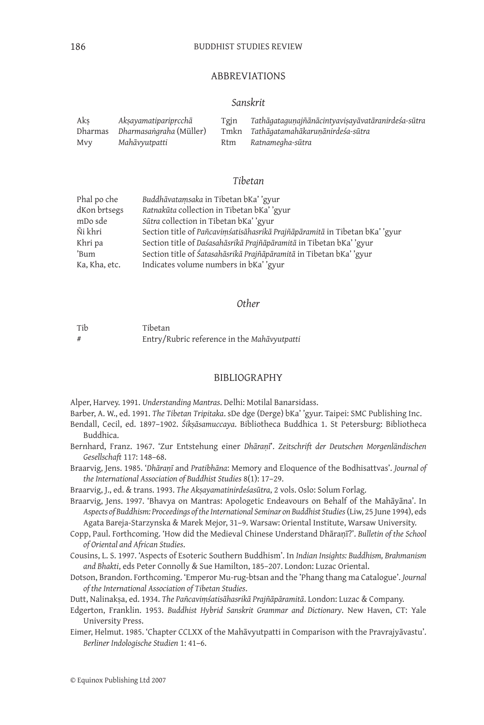#### ABBREVIATIONS

#### *Sanskrit*

| Aks | Akṣayamatiparipṛcchā            | Tgjn | Tathāgatagunajñānācintyaviṣayāvatāranirdeśa-sūtra |
|-----|---------------------------------|------|---------------------------------------------------|
|     | Dharmas Dharmasangraha (Müller) |      | Tmkn Tathāgatamahākarunānirdeśa-sūtra             |
| Mvy | Mahāvyutpatti                   |      | Rtm Ratnamegha-sūtra                              |

#### *Tibetan*

| Phal po che   | Buddhāvatamsaka in Tibetan bKa''gyur                                       |
|---------------|----------------------------------------------------------------------------|
| dKon brtsegs  | Ratnakūta collection in Tibetan bKa''gyur                                  |
| mDo sde       | Sūtra collection in Tibetan bKa''gyur                                      |
| Ñi khri       | Section title of Pañcavimśatisāhasrikā Prajñāpāramitā in Tibetan bKa''gyur |
| Khri pa       | Section title of Daśasahāsrikā Prajñāpāramitā in Tibetan bKa''gyur         |
| 'Bum          | Section title of Śatasahāsrikā Prajñāpāramitā in Tibetan bKa''gyur         |
| Ka, Kha, etc. | Indicates volume numbers in bKa' 'gyur                                     |

#### *Other*

| Tib | Tibetan                                     |
|-----|---------------------------------------------|
|     | Entry/Rubric reference in the Mahāvyutpatti |

#### BIBLIOGRAPHY

Alper, Harvey. 1991. *Understanding Mantras*. Delhi: Motilal Banarsidass.

Barber, A. W., ed. 1991. *The Tibetan Tripitaka*. sDe dge (Derge) bKa' 'gyur. Taipei: SMC Publishing Inc.

- Bendall, Cecil, ed. 1897–1902. *Śikṣāsamuccaya*. Bibliotheca Buddhica 1. St Petersburg: Bibliotheca Buddhica.
- Bernhard, Franz. 1967. 'Zur Entstehung einer *Dhāraṇī*'. *Zeitschrift der Deutschen Morgenländischen Gesellschaft* 117: 148–68.

Braarvig, Jens. 1985. '*Dhāraṇī* and *Pratibhāna*: Memory and Eloquence of the Bodhisattvas'. *Journal of the International Association of Buddhist Studies* 8(1): 17–29.

Braarvig, J., ed. & trans. 1993. *The Akṣayamatinirdeśasūtra*, 2 vols. Oslo: Solum Forlag.

- Braarvig, Jens. 1997. 'Bhavya on Mantras: Apologetic Endeavours on Behalf of the Mahāyāna'. In *Aspects of Buddhism: Proceedings of the International Seminar on Buddhist Studies* (Liw, 25 June 1994), eds Agata Bareja-Starzynska & Marek Mejor, 31–9. Warsaw: Oriental Institute, Warsaw University.
- Copp, Paul. Forthcoming. 'How did the Medieval Chinese Understand Dhāraṇī?'. *Bulletin of the School of Oriental and African Studies*.
- Cousins, L. S. 1997. 'Aspects of Esoteric Southern Buddhism'. In *Indian Insights: Buddhism, Brahmanism and Bhakti*, eds Peter Connolly & Sue Hamilton, 185–207. London: Luzac Oriental.
- Dotson, Brandon. Forthcoming. 'Emperor Mu-rug-btsan and the 'Phang thang ma Catalogue'. *Journal of the International Association of Tibetan Studies*.

Dutt, Nalinakṣa, ed. 1934. *The Pañcaviṃśatisāhasrikā Prajñāpāramitā*. London: Luzac & Company.

- Edgerton, Franklin. 1953. *Buddhist Hybrid Sanskrit Grammar and Dictionary*. New Haven, CT: Yale University Press.
- Eimer, Helmut. 1985. 'Chapter CCLXX of the Mahāvyutpatti in Comparison with the Pravrajyāvastu'. *Berliner Indologische Studien* 1: 41–6.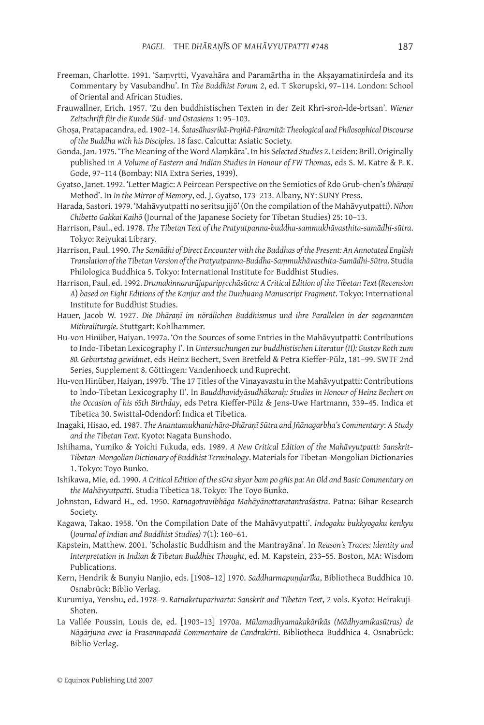- Freeman, Charlotte. 1991. 'Saṃvṛtti, Vyavahāra and Paramārtha in the Akṣayamatinirdeśa and its Commentary by Vasubandhu'. In *The Buddhist Forum* 2, ed. T Skorupski, 97–114. London: School of Oriental and African Studies.
- Frauwallner, Erich. 1957. 'Zu den buddhistischen Texten in der Zeit Khri-sroṅ-lde-brtsan'. *Wiener Zeitschrift für die Kunde Süd- und Ostasiens* 1: 95–103.
- Ghoṣa, Pratapacandra, ed. 1902–14. *Śatasāhasrikā-Prajñā-Pāramitā*: *Theological and Philosophical Discourse of the Buddha with his Disciples*. 18 fasc. Calcutta: Asiatic Society.
- Gonda, Jan. 1975. 'The Meaning of the Word Alaṃkāra'. In his *Selected Studies* 2. Leiden: Brill. Originally published in *A Volume of Eastern and Indian Studies in Honour of FW Thomas*, eds S. M. Katre & P. K. Gode, 97–114 (Bombay: NIA Extra Series, 1939).
- Gyatso, Janet. 1992. 'Letter Magic: A Peircean Perspective on the Semiotics of Rdo Grub-chen's *Dhāraṇī* Method'. In *In the Mirror of Memory*, ed. J. Gyatso, 173–213. Albany, NY: SUNY Press.
- Harada, Sastori. 1979. 'Mahāvyutpatti no seritsu jijō' (On the compilation of the Mahāvyutpatti). *Nihon Chibetto Gakkai Kaihō* (Journal of the Japanese Society for Tibetan Studies) 25: 10–13.
- Harrison, Paul., ed. 1978. *The Tibetan Text of the Pratyutpanna-buddha-sammukhāvasthita-samādhi-sūtra*. Tokyo: Reiyukai Library.
- Harrison, Paul. 1990. *The Samādhi of Direct Encounter with the Buddhas of the Present: An Annotated English Translation of the Tibetan Version of the Pratyutpanna-Buddha-Saṃmukhāvasthita-Samādhi-Sūtra*. Studia Philologica Buddhica 5. Tokyo: International Institute for Buddhist Studies.
- Harrison, Paul, ed. 1992. *Drumakinnararājaparipṛcchāsūtra: A Critical Edition of the Tibetan Text (Recension A*) *based on Eight Editions of the Kanjur and the Dunhuang Manuscript Fragment*. Tokyo: International Institute for Buddhist Studies.
- Hauer, Jacob W. 1927. *Die Dhāraṇī im nördlichen Buddhismus und ihre Parallelen in der sogenannten Mithraliturgie.* Stuttgart: Kohlhammer.
- Hu-von Hinüber, Haiyan. 1997a. 'On the Sources of some Entries in the Mahāvyutpatti: Contributions to Indo-Tibetan Lexicography I'. In *Untersuchungen zur buddhistischen Literatur (II): Gustav Roth zum 80. Geburtstag gewidmet*, eds Heinz Bechert, Sven Bretfeld & Petra Kieffer-Pülz, 181–99. SWTF 2nd Series, Supplement 8. Göttingen: Vandenhoeck und Ruprecht.
- Hu-von Hinüber, Haiyan, 1997b. 'The 17 Titles of the Vinayavastu in the Mahāvyutpatti: Contributions to Indo-Tibetan Lexicography II'. In *Bauddhavidyāsudhākaraḥ: Studies in Honour of Heinz Bechert on the Occasion of his 65th Birthday*, eds Petra Kieffer-Pülz & Jens-Uwe Hartmann, 339–45. Indica et Tibetica 30. Swisttal-Odendorf: Indica et Tibetica.
- Inagaki, Hisao, ed. 1987. *The Anantamukhanirhāra-Dhāraṇī Sūtra and Jñānagarbha's Commentary*: *A Study and the Tibetan Text*. Kyoto: Nagata Bunshodo.
- Ishihama, Yumiko & Yoichi Fukuda, eds. 1989. *A New Critical Edition of the Mahāvyutpatti: Sanskrit– Tibetan–Mongolian Dictionary of Buddhist Terminology*. Materials for Tibetan-Mongolian Dictionaries 1. Tokyo: Toyo Bunko.
- Ishikawa, Mie, ed. 1990. *A Critical Edition of the sGra sbyor bam po gñis pa: An Old and Basic Commentary on the Mahāvyutpatti*. Studia Tibetica 18. Tokyo: The Toyo Bunko.
- Johnston, Edward H., ed. 1950. *Ratnagotravibhāga Mahāyānottaratantraśāstra*. Patna: Bihar Research Society.
- Kagawa, Takao. 1958. 'On the Compilation Date of the Mahāvyutpatti'. *Indogaku bukkyogaku kenkyu* (*Journal of Indian and Buddhist Studies)* 7(1): 160–61.
- Kapstein, Matthew. 2001. 'Scholastic Buddhism and the Mantrayāna'. In *Reason's Traces: Identity and Interpretation in Indian & Tibetan Buddhist Thought*, ed. M. Kapstein, 233–55. Boston, MA: Wisdom Publications.
- Kern, Hendrik & Bunyiu Nanjio, eds. [1908–12] 1970. *Saddharmapuṇḍarīka*, Bibliotheca Buddhica 10. Osnabrück: Biblio Verlag.
- Kurumiya, Yenshu, ed. 1978–9. *Ratnaketuparivarta: Sanskrit and Tibetan Text*, 2 vols. Kyoto: Heirakuji-Shoten.
- La Vallée Poussin, Louis de, ed. [1903–13] 1970a. *Mūlamadhyamakakārikās (Mādhyamikasūtras) de Nāgārjuna avec la Prasannapadā Commentaire de Candrakīrti*. Bibliotheca Buddhica 4. Osnabrück: Biblio Verlag.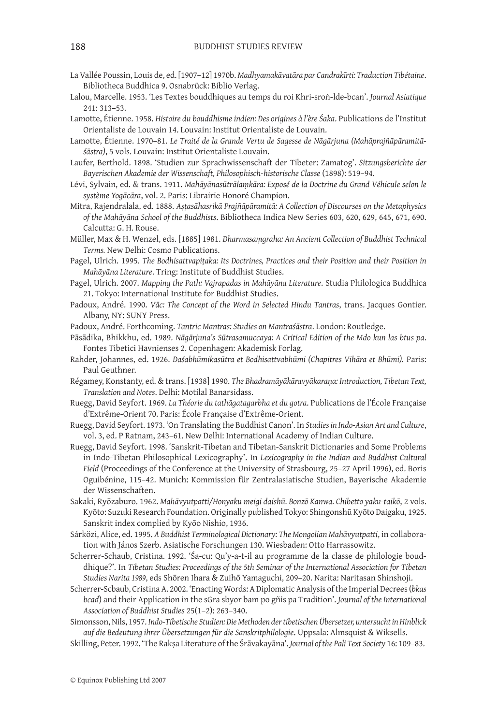- La Vallée Poussin, Louis de, ed. [1907–12] 1970b. *Madhyamakāvatāra par Candrakīrti: Traduction Tibétaine*. Bibliotheca Buddhica 9. Osnabrück: Biblio Verlag.
- Lalou, Marcelle. 1953. 'Les Textes bouddhiques au temps du roi Khri-sroṅ-lde-bcan'. *Journal Asiatique* 241: 313–53.
- Lamotte, Étienne. 1958. *Histoire du bouddhisme indien: Des origines à l'ère Śaka*. Publications de l'Institut Orientaliste de Louvain 14. Louvain: Institut Orientaliste de Louvain.
- Lamotte, Étienne. 1970–81. *Le Traité de la Grande Vertu de Sagesse de Nāgārjuna (Mahāprajñāpāramitāśāstra)*, 5 vols. Louvain: Institut Orientaliste Louvain.
- Laufer, Berthold. 1898. 'Studien zur Sprachwissenschaft der Tibeter: Zamatog'. *Sitzungsberichte der Bayerischen Akademie der Wissenschaft, Philosophisch-historische Classe* (1898): 519–94.
- Lévi, Sylvain, ed. & trans. 1911. *Mahāyānasūtrālaṃkāra: Exposé de la Doctrine du Grand Véhicule selon le système Yogācāra*, vol. 2. Paris: Librairie Honoré Champion.
- Mitra, Rajendralala, ed. 1888. *Aṣṭasāhasrikā Prajñāpāramitā: A Collection of Discourses on the Metaphysics of the Mahāyāna School of the Buddhists*. Bibliotheca Indica New Series 603, 620, 629, 645, 671, 690. Calcutta: G. H. Rouse.
- Müller, Max & H. Wenzel, eds. [1885] 1981. *Dharmasaṃgraha: An Ancient Collection of Buddhist Technical Terms.* New Delhi: Cosmo Publications.
- Pagel, Ulrich. 1995. *The Bodhisattvapitaka: Its Doctrines, Practices and their Position and their Position in Mahāyāna Literature*. Tring: Institute of Buddhist Studies.
- Pagel, Ulrich. 2007. *Mapping the Path: Vajrapadas in Mahāyāna Literature*. Studia Philologica Buddhica 21. Tokyo: International Institute for Buddhist Studies.
- Padoux, André. 1990. *Vāc: The Concept of the Word in Selected Hindu Tantras*, trans. Jacques Gontier. Albany, NY: SUNY Press.
- Padoux, André. Forthcoming. *Tantric Mantras: Studies on Mantraśāstra*. London: Routledge.

Pāsādika, Bhikkhu, ed. 1989. *Nāgārjuna's Sūtrasamuccaya: A Critical Edition of the Mdo kun las btus pa*. Fontes Tibetici Havnienses 2. Copenhagen: Akademisk Forlag.

- Rahder, Johannes, ed. 1926. *Daśabhūmikasūtra et Bodhisattvabhūmi (Chapitres Vihāra et Bhūmi).* Paris: Paul Geuthner.
- Régamey, Konstanty, ed. & trans. [1938] 1990. *The Bhadramāyākāravyākaraṇa: Introduction, Tibetan Text, Translation and Notes*. Delhi: Motilal Banarsidass.
- Ruegg, David Seyfort. 1969. *La Théorie du tathāgatagarbha et du gotra*. Publications de l'École Française d'Extrême-Orient 70. Paris: École Française d'Extrême-Orient.
- Ruegg, David Seyfort. 1973. 'On Translating the Buddhist Canon'. In *Studies in Indo-Asian Art and Culture*, vol. 3, ed. P Ratnam, 243–61. New Delhi: International Academy of Indian Culture.
- Ruegg, David Seyfort. 1998. 'Sanskrit-Tibetan and Tibetan-Sanskrit Dictionaries and Some Problems in Indo-Tibetan Philosophical Lexicography'. In *Lexicography in the Indian and Buddhist Cultural Field* (Proceedings of the Conference at the University of Strasbourg, 25–27 April 1996), ed. Boris Oguibénine, 115–42. Munich: Kommission für Zentralasiatische Studien, Bayerische Akademie der Wissenschaften.
- Sakaki, Ryōzaburo. 1962. *Mahāvyutpatti/Honyaku meigi daishū. Bonzō Kanwa. Chibetto yaku-taikō*, 2 vols. Kyōto: Suzuki Research Foundation. Originally published Tokyo: Shingonshū Kyōto Daigaku, 1925. Sanskrit index complied by Kyōo Nishio, 1936.
- Sárközi, Alice, ed. 1995. *A Buddhist Terminological Dictionary: The Mongolian Mahāvyutpatti*, in collaboration with János Szerb. Asiatische Forschungen 130. Wiesbaden: Otto Harrassowitz.
- Scherrer-Schaub, Cristina. 1992. 'Śa-cu: Qu'y-a-t-il au programme de la classe de philologie bouddhique?'. In *Tibetan Studies: Proceedings of the 5th Seminar of the International Association for Tibetan Studies Narita 1989*, eds Shōren Ihara & Zuihō Yamaguchi, 209–20. Narita: Naritasan Shinshoji.
- Scherrer-Scbaub, Cristina A. 2002. 'Enacting Words: A Diplomatic Analysis of the Imperial Decrees (*bkas bcad*) and their Application in the sGra sbyor bam po gñis pa Tradition'. *Journal of the International Association of Buddhist Studies* 25(1–2): 263–340.
- Simonsson, Nils, 1957. *Indo-Tibetische Studien: Die Methoden der tibetischen Übersetzer, untersucht in Hinblick auf die Bedeutung ihrer Übersetzungen für die Sanskritphilologie*. Uppsala: Almsquist & Wiksells.
- Skilling, Peter. 1992. 'The Rakṣa Literature of the Śrāvakayāna'. *Journal of the Pali Text Society* 16: 109–83.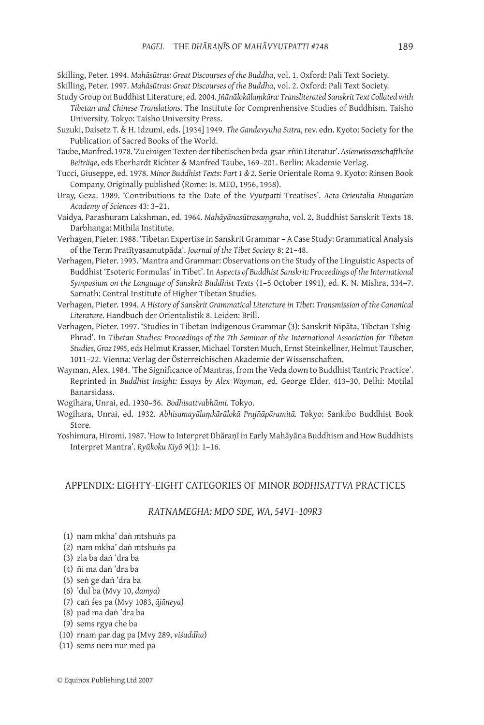Skilling, Peter. 1994. *Mahāsūtras: Great Discourses of the Buddha*, vol. 1. Oxford: Pali Text Society. Skilling, Peter. 1997. *Mahāsūtras: Great Discourses of the Buddha*, vol. 2. Oxford: Pali Text Society.

- Study Group on Buddhist Literature, ed. 2004. *Jñānālokālaṃkāra: Transliterated Sanskrit Text Collated with Tibetan and Chinese Translations*. The Institute for Comprenhensive Studies of Buddhism. Taisho University. Tokyo: Taisho University Press.
- Suzuki, Daisetz T. & H. Idzumi, eds. [1934] 1949. *The Gandavyuha Sutra*, rev. edn. Kyoto: Society for the Publication of Sacred Books of the World.
- Taube, Manfred. 1978. 'Zu einigen Texten der tibetischen brda-gsar-rñiṅ Literatur'. *Asienwissenschaftliche Beiträge*, eds Eberhardt Richter & Manfred Taube, 169–201. Berlin: Akademie Verlag.
- Tucci, Giuseppe, ed. 1978. *Minor Buddhist Texts: Part 1 & 2*. Serie Orientale Roma 9. Kyoto: Rinsen Book Company. Originally published (Rome: Is. MEO, 1956, 1958).
- Uray, Geza. 1989. 'Contributions to the Date of the *Vyutpatti* Treatises'. *Acta Orientalia Hungarian Academy of Sciences* 43: 3–21.
- Vaidya*,* Parashuram Lakshman, ed. 1964. *Mahāyānasūtrasaṃgraha*, vol. 2. Buddhist Sanskrit Texts 18. Darbhanga: Mithila Institute.
- Verhagen, Pieter. 1988. 'Tibetan Expertise in Sanskrit Grammar A Case Study: Grammatical Analysis of the Term Pratītyasamutpāda'. *Journal of the Tibet Society* 8: 21–48.
- Verhagen, Pieter. 1993. 'Mantra and Grammar: Observations on the Study of the Linguistic Aspects of Buddhist 'Esoteric Formulas' in Tibet'. In *Aspects of Buddhist Sanskrit: Proceedings of the International Symposium on the Language of Sanskrit Buddhist Texts* (1–5 October 1991), ed. K. N. Mishra, 334–7. Sarnath: Central Institute of Higher Tibetan Studies.
- Verhagen, Pieter. 1994. *A History of Sanskrit Grammatical Literature in Tibet*: *Transmission of the Canonical Literature*. Handbuch der Orientalistik 8. Leiden: Brill.
- Verhagen, Pieter. 1997. 'Studies in Tibetan Indigenous Grammar (3): Sanskrit Nipāta, Tibetan Tshig-Phrad'. In *Tibetan Studies: Proceedings of the 7th Seminar of the International Association for Tibetan Studies, Graz 1995*, eds Helmut Krasser, Michael Torsten Much, Ernst Steinkellner, Helmut Tauscher, 1011–22. Vienna: Verlag der Österreichischen Akademie der Wissenschaften.
- Wayman, Alex. 1984. 'The Significance of Mantras, from the Veda down to Buddhist Tantric Practice'. Reprinted in *Buddhist Insight: Essays by Alex Wayman*, ed. George Elder, 413–30. Delhi: Motilal Banarsidass.
- Wogihara, Unrai, ed. 1930–36. *Bodhisattvabhūmi*. Tokyo.
- Wogihara, Unrai, ed. 1932. *Abhisamayālaṃkārālokā Prajñāpāramitā.* Tokyo: Sankibo Buddhist Book Store*.*
- Yoshimura, Hiromi. 1987. 'How to Interpret Dhāraṇī in Early Mahāyāna Buddhism and How Buddhists Interpret Mantra'. *Ryūkoku Kiyō* 9(1): 1–16.

#### APPENDIX: EIGHTY-EIGHT CATEGORIES OF MINOR *BODHISATTVA* PRACTICES

#### *RATNAMEGHA: MDO SDE, WA, 54V1–109R3*

- (1) nam mkha' daṅ mtshuṅs pa
- (2) nam mkha' daṅ mtshuṅs pa
- (3) zla ba daṅ 'dra ba
- (4) ñi ma daṅ 'dra ba
- (5) seṅ ge daṅ 'dra ba
- (6) 'dul ba (Mvy 10, *damya*)
- (7) caṅ śes pa (Mvy 1083, *ājāneya*)
- (8) pad ma daṅ 'dra ba
- (9) sems rgya che ba
- (10) rnam par dag pa (Mvy 289, *viśuddha*)
- (11) sems nem nur med pa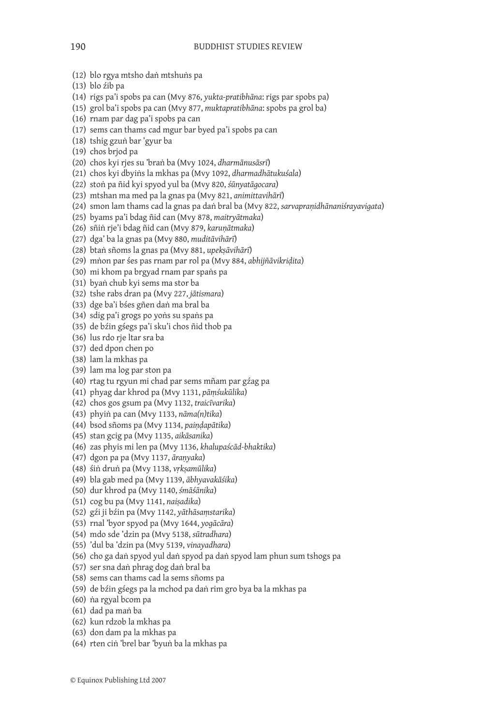- (12) blo rgya mtsho daṅ mtshuṅs pa
- (13) blo źib pa
- (14) rigs pa'i spobs pa can (Mvy 876, *yukta-pratibhāna*: rigs par spobs pa)
- (15) grol ba'i spobs pa can (Mvy 877, *muktapratibhāna*: spobs pa grol ba)
- (16) rnam par dag pa'i spobs pa can
- (17) sems can thams cad mgur bar byed pa'i spobs pa can
- (18) tshig gzuṅ bar 'gyur ba
- (19) chos brjod pa
- (20) chos kyi rjes su 'braṅ ba (Mvy 1024, *dharmānusāsrī*)
- (21) chos kyi dbyiṅs la mkhas pa (Mvy 1092, *dharmadhātukuśala*)
- (22) stoṅ pa ñid kyi spyod yul ba (Mvy 820, *śūnyatāgocara*)
- (23) mtshan ma med pa la gnas pa (Mvy 821, *animittavihārī*)
- (24) smon lam thams cad la gnas pa daṅ bral ba (Mvy 822, *sarvapraṇidhānaniśrayavigata*)
- (25) byams pa'i bdag ñid can (Mvy 878, *maitryātmaka*)
- (26) sñiṅ rje'i bdag ñid can (Mvy 879, *karuṇātmaka*)
- (27) dga' ba la gnas pa (Mvy 880, *muditāvihārī*)
- (28) btaṅ sñoms la gnas pa (Mvy 881, *upekṣāvihārī*)
- (29) mṅon par śes pas rnam par rol pa (Mvy 884, *abhijñāvikriḍita*)
- (30) mi khom pa brgyad rnam par spaṅs pa
- (31) byaṅ chub kyi sems ma stor ba
- (32) tshe rabs dran pa (Mvy 227, *jātismara*)
- (33) dge ba'i bśes gñen daṅ ma bral ba
- (34) sdig pa'i grogs po yoṅs su spaṅs pa
- (35) de bźin gśegs pa'i sku'i chos ñid thob pa
- (36) lus rdo rje ltar sra ba
- (37) ded dpon chen po
- (38) lam la mkhas pa
- (39) lam ma log par ston pa
- (40) rtag tu rgyun mi chad par sems mñam par gźag pa
- (41) phyag dar khrod pa (Mvy 1131, *pāṃśukūlika*)
- (42) chos gos gsum pa (Mvy 1132, *traicīvarika*)
- (43) phyiṅ pa can (Mvy 1133, *nāma(n)tika*)
- (44) bsod sñoms pa (Mvy 1134, *paiṇḍapātika*)
- (45) stan gcig pa (Mvy 1135, *aikāsanika*)
- (46) zas phyis mi len pa (Mvy 1136, *khalupaścād-bhaktika*)
- (47) dgon pa pa (Mvy 1137, *āraṇyaka*)
- (48) śiṅ druṅ pa (Mvy 1138, *vṛkṣamūlika*)
- (49) bla gab med pa (Mvy 1139, *ābhyavakāśika*)
- (50) dur khrod pa (Mvy 1140, *śmāśānika*)
- (51) cog bu pa (Mvy 1141, *naiṣadika*)
- (52) gźi ji bźin pa (Mvy 1142, *yāthāsaṃstarika*)
- (53) rnal 'byor spyod pa (Mvy 1644, *yogācāra*)
- (54) mdo sde 'dzin pa (Mvy 5138, *sūtradhara*)
- (55) 'dul ba 'dzin pa (Mvy 5139, *vinayadhara*)
- (56) cho ga daṅ spyod yul daṅ spyod pa daṅ spyod lam phun sum tshogs pa
- (57) ser sna daṅ phrag dog daṅ bral ba
- (58) sems can thams cad la sems sñoms pa
- (59) de bźin gśegs pa la mchod pa daṅ rim gro bya ba la mkhas pa
- (60) ṅa rgyal bcom pa
- (61) dad pa maṅ ba
- (62) kun rdzob la mkhas pa
- (63) don dam pa la mkhas pa
- (64) rten ciṅ 'brel bar 'byuṅ ba la mkhas pa